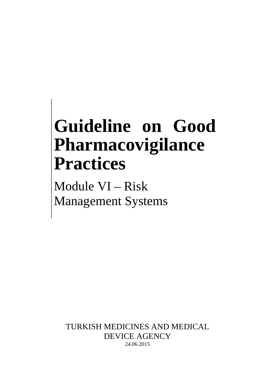# **Guideline on Good Pharmacovigilance Practices**

Module VI – Risk Management Systems

TURKISH MEDICINES AND MEDICAL DEVICE AGENCY 24.06.2015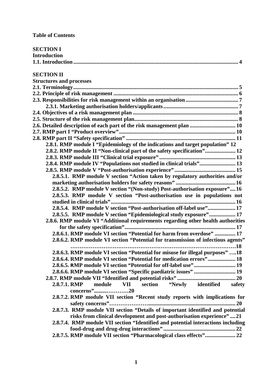| <b>SECTION I</b>                                                                 |
|----------------------------------------------------------------------------------|
| <b>Introduction</b>                                                              |
|                                                                                  |
|                                                                                  |
| <b>SECTION II</b>                                                                |
| <b>Structures and processes</b>                                                  |
|                                                                                  |
|                                                                                  |
|                                                                                  |
|                                                                                  |
|                                                                                  |
|                                                                                  |
| 2.6. Detailed description of each part of the risk management plan  10           |
|                                                                                  |
|                                                                                  |
| 2.8.1. RMP module I "Epidemiology of the indications and target population" 12   |
| 2.8.2. RMP module II "Non-clinical part of the safety specification" 12          |
|                                                                                  |
| 2.8.4. RMP module IV "Populations not studied in clinical trials" 13             |
|                                                                                  |
| 2.8.5.1. RMP module V section "Action taken by regulatory authorities and/or     |
|                                                                                  |
| 2.8.5.2. RMP module V section "(Non-study) Post-authorisation exposure"16        |
| 2.8.5.3. RMP module V section "Post-authorisation use in populations not         |
|                                                                                  |
| 2.8.5.4. RMP module V section "Post-authorisation off-label use" 17              |
| 2.8.5.5. RMP module V section "Epidemiological study exposure" 17                |
| 2.8.6. RMP module VI "Additional requirements regarding other health authorities |
|                                                                                  |
| 2.8.6.1. RMP module VI section "Potential for harm from overdose"  17            |
| 2.8.6.2. RMP module VI section "Potential for transmission of infectious agents" |
|                                                                                  |
| 2.8.6.3. RMP module VI section "Potential for misuse for illegal purposes" 18    |
| 2.8.6.4. RMP module VI section "Potential for medication errors" 18              |
| 2.8.6.5. RMP module VI section "Potential for off-label use" 19                  |
|                                                                                  |
|                                                                                  |
| section<br>2.8.7.1. RMP<br>module<br>"Newly identified<br>VII<br>safety          |
| concerns"20                                                                      |
| 2.8.7.2. RMP module VII section "Recent study reports with implications for      |
|                                                                                  |
| 2.8.7.3. RMP module VII section "Details of important identified and potential   |
| risks from clinical development and post-authorisation experience"21             |
| 2.8.7.4. RMP module VII section "Identified and potential interactions including |
|                                                                                  |
| 2.8.7.5. RMP module VII section "Pharmacological class effects" 22               |
|                                                                                  |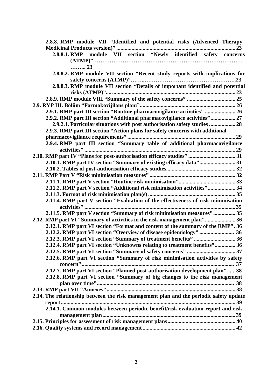| 2.8.8. RMP module VII "Identified and potential risks (Advenced Therapy                |  |
|----------------------------------------------------------------------------------------|--|
|                                                                                        |  |
| 2.8.8.1. RMP module VII section "Newly identified safety concerns                      |  |
|                                                                                        |  |
| 23                                                                                     |  |
| 2.8.8.2. RMP module VII section "Recent study reports with implications for            |  |
|                                                                                        |  |
| 2.8.8.3. RMP module VII section "Details of important identified and potential         |  |
|                                                                                        |  |
|                                                                                        |  |
|                                                                                        |  |
| 2.9.1. RMP part III section "Routine pharmacovigilance activities"  26                 |  |
| 2.9.2. RMP part III section "Additional pharmacovigilance activities" 27               |  |
| 2.9.2.1. Particular situations with post authorisation safety studies  28              |  |
| 2.9.3. RMP part III section "Action plans for safety concerns with additional          |  |
|                                                                                        |  |
| 2.9.4. RMP part III section "Summary table of additional pharmacovigilance             |  |
|                                                                                        |  |
| 2.10. RMP part IV "Plans for post-authorisation efficacy studies"  31                  |  |
| 2.10.1. RMP part IV section "Summary of existing efficacy data" 31                     |  |
|                                                                                        |  |
|                                                                                        |  |
|                                                                                        |  |
| 2.11.2. RMP part V section "Additional risk minimisation activities" 34                |  |
|                                                                                        |  |
| 2.11.4. RMP part V section "Evaluation of the effectiveness of risk minimisation"      |  |
|                                                                                        |  |
| 2.11.5. RMP part V section "Summary of risk minimisation measures" 35                  |  |
| 2.12. RMP part VI "Summary of activities in the risk management plan"36                |  |
| 2.12.1. RMP part VI section "Format and content of the summary of the RMP". 36         |  |
|                                                                                        |  |
| 2.12.3. RMP part VI section "Summary of treatment benefits"  36                        |  |
| 2.12.4. RMP part VI section "Unknowns relating to treatment benefits" 36               |  |
|                                                                                        |  |
| 2.12.6. RMP part VI section "Summary of risk minimisation activities by safety         |  |
|                                                                                        |  |
| 2.12.7. RMP part VI section "Planned post-authorisation development plan" 38           |  |
| 2.12.8. RMP part VI section "Summary of big changes to the risk management             |  |
|                                                                                        |  |
|                                                                                        |  |
| 2.14. The relationship between the risk management plan and the periodic safety update |  |
|                                                                                        |  |
| 2.14.1. Common modules between periodic benefit/risk evaluation report and risk        |  |
|                                                                                        |  |
|                                                                                        |  |
|                                                                                        |  |
|                                                                                        |  |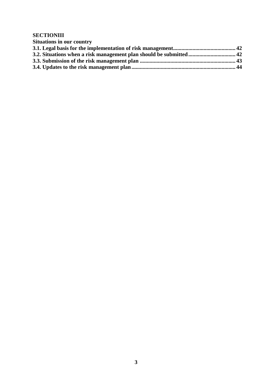#### **SECTIONIII**

| <b>Situations in our country</b> |  |
|----------------------------------|--|
|                                  |  |
|                                  |  |
|                                  |  |
|                                  |  |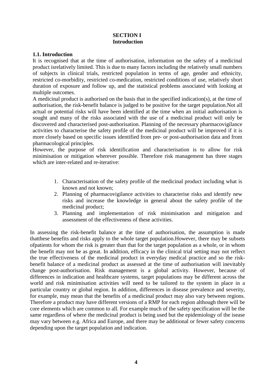#### **SECTION I Introduction**

#### **1.1. Introduction**

It is recognised that at the time of authorisation, information on the safety of a medicinal product isrelatively limited. This is due to many factors including the relatively small numbers of subjects in clinical trials, restricted population in terms of age, gender and ethnicity, restricted co-morbidity, restricted co-medication, restricted conditions of use, relatively short duration of exposure and follow up, and the statistical problems associated with looking at multiple outcomes.

A medicinal product is authorised on the basis that in the specified indication(s), at the time of authorisation, the risk-benefit balance is judged to be positive for the target population.Not all actual or potential risks will have been identified at the time when an initial authorisation is sought and many of the risks associated with the use of a medicinal product will only be discovered and characterised post-authorisation. Planning of the necessary pharmacovigilance activities to characterise the safety profile of the medicinal product will be improved if it is more closely based on specific issues identified from pre- or post-authorisation data and from pharmacological principles.

However, the purpose of risk identification and characterisation is to allow for risk minimisation or mitigation wherever possible. Therefore risk management has three stages which are inter-related and re-iterative:

- 1. Characterisation of the safety profile of the medicinal product including what is known and not known;
- 2. Planning of pharmacovigilance activities to characterise risks and identify new risks and increase the knowledge in general about the safety profile of the medicinal product;
- 3. Planning and implementation of risk minimisation and mitigation and assessment of the effectiveness of these activities.

In assessing the risk-benefit balance at the time of authorisation, the assumption is made thatthese benefits and risks apply to the whole target population.However, there may be subsets ofpatients for whom the risk is greater than that for the target population as a whole, or in whom the benefit may not be as great. In addition, efficacy in the clinical trial setting may not reflect the true effectiveness of the medicinal product in everyday medical practice and so the riskbenefit balance of a medicinal product as assessed at the time of authorisation will inevitably change post-authorisation. Risk management is a global activity. However, because of differences in indication and healthcare systems, target populations may be different across the world and risk minimisation activities will need to be tailored to the system in place in a particular country or global region. In addition, differences in disease prevalence and severity, for example, may mean that the benefits of a medicinal product may also vary between regions. Therefore a product may have different versions of a RMP for each region although there will be core elements which are common to all. For example much of the safety specification will be the same regardless of where the medicinal product is being used but the epidemiology of the isease may vary between e.g. Africa and Europe, and there may be additional or fewer safety concerns depending upon the target population and indication.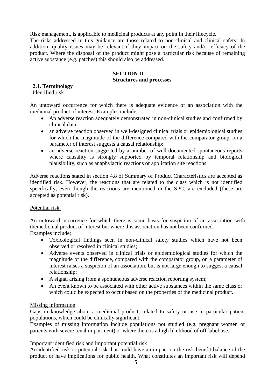Risk management, is applicable to medicinal products at any point in their lifecycle.

The risks addressed in this guidance are those related to non-clinical and clinical safety. In addition, quality issues may be relevant if they impact on the safety and/or efficacy of the product. Where the disposal of the product might pose a particular risk because of remaining active substance (e.g. patches) this should also be addressed.

# <span id="page-5-0"></span>**SECTION II**

## **Structures and processes**

#### <span id="page-5-2"></span><span id="page-5-1"></span>**2.1. Terminology** Identified risk

An untoward occurrence for which there is adequate evidence of an association with the medicinal product of interest. Examples include:

- An adverse reaction adequately demonstrated in non-clinical studies and confirmed by clinical data;
- an adverse reaction observed in well-designed clinical trials or epidemiological studies for which the magnitude of the difference compared with the comparator group, on a parameter of interest suggests a causal relationship;
- an adverse reaction suggested by a number of well-documented spontaneous reports where causality is strongly supported by temporal relationship and biological plausibility, such as anaphylactic reactions or application site reactions.

Adverse reactions stated in section 4.8 of Summary of Product Characteristics are accepted as identified risk. However, the reactions that are related to the class which is not identified specifically, even though the reactions are mentioned in the SPC, are excluded (these are accepted as potential risk).

## Potential risk

An untoward occurrence for which there is some basis for suspicion of an association with themedicinal product of interest but where this association has not been confirmed. Examples include:

- Toxicological findings seen in non-clinical safety studies which have not been observed or resolved in clinical studies;
- Adverse events observed in clinical trials or epidemiological studies for which the magnitude of the difference, compared with the comparator group, on a parameter of interest raises a suspicion of an association, but is not large enough to suggest a causal relationship;
- A signal arising from a spontaneous adverse reaction reporting system;
- An event known to be associated with other active substances within the same class or which could be expected to occur based on the properties of the medicinal product.

## Missing information

Gaps in knowledge about a medicinal product, related to safety or use in particular patient populations, which could be clinically significant.

Examples of missing information include populations not studied (e.g. pregnant women or patients with severe renal impairment) or where there is a high likelihood of off-label use.

#### Important identified risk and important potential risk

An identified risk or potential risk that could have an impact on the risk-benefit balance of the product or have implications for public health. What constitutes an important risk will depend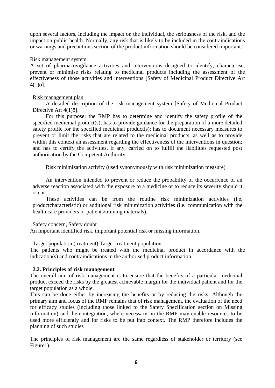upon several factors, including the impact on the individual, the seriousness of the risk, and the impact on public health. Normally, any risk that is likely to be included in the contraindications or warnings and precautions section of the product information should be considered important.

#### Risk management system

A set of pharmacovigilance activities and interventions designed to identify, characterise, prevent or minimise risks relating to medicinal products including the assessment of the effectiveness of those activities and interventions [Safety of Medicinal Product Directive Art  $4(1)$ ö].

#### Risk management plan

A detailed description of the risk management system [Safety of Medicinal Product Directive Art 4(1)ö].

For this purpose; the RMP has to determine and identify the safety profile of the specified medicinal product(s); has to provide guidance for the preparation of a more detailed safety profile for the specified medicinal product(s); has to document necessary measures to prevent or limit the risks that are related to the medicinal products, as well as to provide within this context an assessment regarding the effectiveness of the interventions in question; and has to certify the activities, if any, carried on to fulfill the liabilities requested post authorisation by the Competent Authority.

#### Risk minimization activity (used synonymously with risk minimization measure)

An intervention intended to prevent or reduce the probability of the occurrence of an adverse reaction associated with the exposure to a medicine or to reduce its severity should it occur.

These activities can be from the routine risk minimization activities (i.e. productcharacteristic) or additional risk minimization activities (i.e. communication with the health care providers or patients/training materials).

#### Safety concern, Safety doubt

An important identified risk, important potential risk or missing information.

#### Target population (treatment),Target treatment population

The patients who might be treated with the medicinal product in accordance with the indication(s) and contraindications in the authorised product information.

#### **2.2. Principles of risk management**

The overall aim of risk management is to ensure that the benefits of a particular medicinal product exceed the risks by the greatest achievable margin for the individual patient and for the target population as a whole.

This can be done either by increasing the benefits or by reducing the risks. Although the primary aim and focus of the RMP remains that of risk management, the evaluation of the need for efficacy studies (including those linked to the Safety Specification section on Missing Information) and their integration, where necessary, in the RMP may enable resources to be used more efficiently and for risks to be put into context. The RMP therefore includes the planning of such studies

The principles of risk management are the same regardless of stakeholder or territory (see Figure1).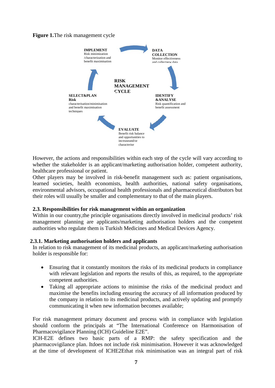**Figure 1.**The risk management cycle



However, the actions and responsibilities within each step of the cycle will vary according to whether the stakeholder is an applicant/marketing authorisation holder, competent authority, healthcare professional or patient.

Other players may be involved in risk-benefit management such as: patient organisations, learned societies, health economists, health authorities, national safety organisations, environmental advisors, occupational health professionals and pharmaceutical distributors but their roles will usually be smaller and complementary to that of the main players.

#### **2.3. Responsibilities for risk management within an organization**

Within in our country, the principle organisations directly involved in medicinal products' risk management planning are applicants/marketing authorisation holders and the competent authorities who regulate them is Turkish Medicines and Medical Devices Agency.

#### <span id="page-7-0"></span>**2.3.1. Marketing authorisation holders and applicants**

In relation to risk management of its medicinal products, an applicant/marketing authorisation holder is responsible for:

- Ensuring that it constantly monitors the risks of its medicinal products in compliance with relevant legislation and reports the results of this, as required, to the appropriate competent authorities.
- Taking all appropriate actions to minimise the risks of the medicinal product and maximise the benefits including ensuring the accuracy of all information produced by the company in relation to its medicinal products, and actively updating and promptly communicating it when new information becomes available;

For risk management primary document and process with in compliance with legislation should conform the principals at "The International Conference on Harmonisation of Pharmacovigilance Planning (ICH) Guideline E2E".

ICH-E2E defines two basic parts of a RMP: the safety specification and the pharmacovigilance plan. Itdoes not include risk minimisation. However it was acknowledged at the time of development of ICHE2Ethat risk minimisation was an integral part of risk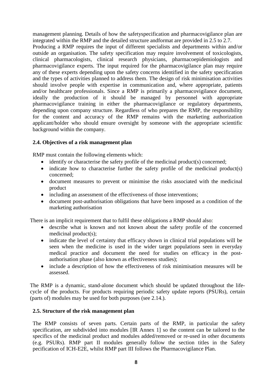management planning. Details of how the safetyspecification and pharmacovigilance plan are integrated within the RMP and the detailed structure andformat are provided in 2.5 to 2.7. Producing a RMP requires the input of different specialists and departments within and/or outside an organisation. The safety specification may require involvement of toxicologists, clinical pharmacologists, clinical research physicians, pharmacoepidemiologists and pharmacovigilance experts. The input required for the pharmacovigilance plan may require any of these experts depending upon the safety concerns identified in the safety specification and the types of activities planned to address them. The design of risk minimisation activities should involve people with expertise in communication and, where appropriate, patients and/or healthcare professionals. Since a RMP is primarily a pharmacovigilance document, ideally the production of it should be managed by personnel with appropriate pharmacovigilance training in either the pharmacovigilance or regulatory departments, depending upon company structure. Regardless of who prepares the RMP, the responsibility for the content and accuracy of the RMP remains with the marketing authorization applicant/holder who should ensure oversight by someone with the appropriate scientific background within the company.

#### **2.4. Objectives of a risk management plan**

RMP must contain the following elements which:

- identify or characterise the safety profile of the medicinal product(s) concerned;
- indicate how to characterise further the safety profile of the medicinal product(s) concerned;
- document measures to prevent or minimise the risks associated with the medicinal product
- including an assessment of the effectiveness of those interventions;
- document post-authorisation obligations that have been imposed as a condition of the marketing authorisation

There is an implicit requirement that to fulfil these obligations a RMP should also:

- describe what is known and not known about the safety profile of the concerned medicinal product(s);
- indicate the level of certainty that efficacy shown in clinical trial populations will be seen when the medicine is used in the wider target populations seen in everyday medical practice and document the need for studies on efficacy in the postauthorisation phase (also known as effectiveness studies);
- include a description of how the effectiveness of risk minimisation measures will be assessed.

The RMP is a dynamic, stand-alone document which should be updated throughout the lifecycle of the products. For products requiring periodic safety update reports (PSURs), certain (parts of) modules may be used for both purposes (see 2.14.).

## **2.5. Structure of the risk management plan**

The RMP consists of seven parts. Certain parts of the RMP, in particular the safety specification, are subdivided into modules [IR Annex 1] so the content can be tailored to the specifics of the medicinal product and modules added/removed or re-used in other documents (e.g. PSURs). RMP part II modules generally follow the section titles in the Safety pecification of ICH-E2E, whilst RMP part III follows the Pharmacovigilance Plan.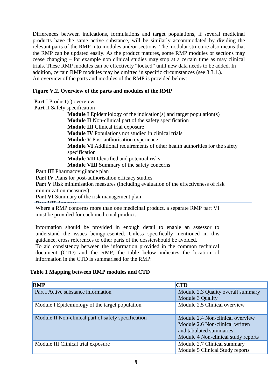Differences between indications, formulations and target populations, if several medicinal products have the same active substance, will be similarly accommodated by dividing the relevant parts of the RMP into modules and/or sections. The modular structure also means that the RMP can be updated easily. As the product matures, some RMP modules or sections may cease changing – for example non clinical studies may stop at a certain time as may clinical trials. These RMP modules can be effectively "locked" until new data needs to be added. In addition, certain RMP modules may be omitted in specific circumstances (see 3.3.1.). An overview of the parts and modules of the RMP is provided below:

## **Figure V.2. Overview of the parts and modules of the RMP**

| <b>Part I Product(s) overview</b>                                                           |
|---------------------------------------------------------------------------------------------|
| <b>Part II Safety specification</b>                                                         |
| <b>Module I</b> Epidemiology of the indication(s) and target population(s)                  |
| <b>Module II</b> Non-clinical part of the safety specification                              |
| <b>Module III</b> Clinical trial exposure                                                   |
| <b>Module IV</b> Populations not studied in clinical trials                                 |
| <b>Module V</b> Post-authorisation experience                                               |
| <b>Module VI</b> Additional requirements of other health authorities for the safety         |
| specification                                                                               |
| <b>Module VII</b> Identified and potential risks                                            |
| <b>Module VIII</b> Summary of the safety concerns                                           |
| <b>Part III</b> Pharmacovigilance plan                                                      |
| <b>Part IV</b> Plans for post-authorisation efficacy studies                                |
| <b>Part V</b> Risk minimisation measures (including evaluation of the effectiveness of risk |
| minimization measures)                                                                      |
| <b>Part VI</b> Summary of the risk management plan                                          |
|                                                                                             |
| Where a RMP concerns more than one medicinal product a senarate RMP part VI                 |

 $M$ P concerns more than one medicinal product, a separate RMP part VI must be provided for each medicinal product.

Information should be provided in enough detail to enable an assessor to understand the issues beingpresented. Unless specifically mentioned in this guidance, cross references to other parts of the dossiershould be avoided.

To aid consistency between the information provided in the common technical document (CTD) and the RMP, the table below indicates the location of information in the CTD is summarised for the RMP:

## **Table 1 Mapping between RMP modules and CTD**

| <b>RMP</b>                                          | <b>CTD</b>                                                                                                                            |
|-----------------------------------------------------|---------------------------------------------------------------------------------------------------------------------------------------|
| Part I Active substance information                 | Module 2.3 Quality overall summary                                                                                                    |
|                                                     | Module 3 Quality                                                                                                                      |
| Module I Epidemiology of the target population      | Module 2.5 Clinical overview                                                                                                          |
| Module II Non-clinical part of safety specification | Module 2.4 Non-clinical overview<br>Module 2.6 Non-clinical written<br>and tabulated summaries<br>Module 4 Non-clinical study reports |
| Module III Clinical trial exposure                  | Module 2.7 Clinical summary<br>Module 5 Clinical Study reports                                                                        |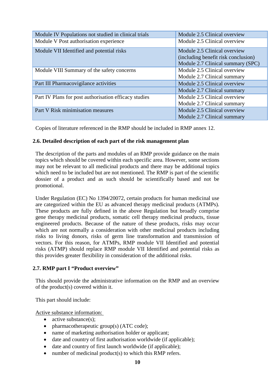| Module IV Populations not studied in clinical trials  | Module 2.5 Clinical overview                                                                             |
|-------------------------------------------------------|----------------------------------------------------------------------------------------------------------|
| Module V Post authorisation experience                | Module 2.5 Clinical overview                                                                             |
| Module VII Identified and potential risks             | Module 2.5 Clinical overview<br>(including benefit risk conclusion)<br>Module 2.7 Clinical summary (SPC) |
| Module VIII Summary of the safety concerns            | Module 2.5 Clinical overview<br>Module 2.7 Clinical summary                                              |
| Part III Pharmacovigilance activities                 | Module 2.5 Clinical overview                                                                             |
|                                                       | Module 2.7 Clinical summary                                                                              |
| Part IV Plans for post authorisation efficacy studies | Module 2.5 Clinical overview                                                                             |
|                                                       | Module 2.7 Clinical summary                                                                              |
| Part V Risk minimisation measures                     | Module 2.5 Clinical overview                                                                             |
|                                                       | Module 2.7 Clinical summary                                                                              |

Copies of literature referenced in the RMP should be included in RMP annex 12.

#### **2.6. Detailed description of each part of the risk management plan**

The description of the parts and modules of an RMP provide guidance on the main topics which should be covered within each specific area. However, some sections may not be relevant to all medicinal products and there may be additional topics which need to be included but are not mentioned. The RMP is part of the scientific dossier of a product and as such should be scientifically based and not be promotional.

Under Regulation (EC) No 1394/20072, certain products for human medicinal use are categorized within the EU as advanced therapy medicinal products (ATMPs). These products are fully defined in the above Regulation but broadly comprise gene therapy medicinal products, somatic cell therapy medicinal products, tissue engineered products. Because of the nature of these products, risks may occur which are not normally a consideration with other medicinal products including risks to living donors, risks of germ line transformation and transmission of vectors. For this reason, for ATMPs, RMP module VII Identified and potential risks (ATMP) should replace RMP module VII Identified and potential risks as this provides greater flexibility in consideration of the additional risks.

## **2.7. RMP part I "Product overview"**

This should provide the administrative information on the RMP and an overview of the product(s) covered within it.

This part should include:

Active substance information:

- active substance(s);
- pharmacotherapeutic group(s) (ATC code);
- name of marketing authorisation holder or applicant;
- date and country of first authorisation worldwide (if applicable);
- date and country of first launch worldwide (if applicable);
- number of medicinal product(s) to which this RMP refers.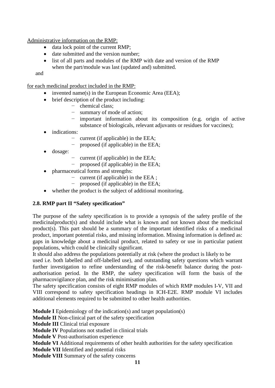Administrative information on the RMP:

- data lock point of the current RMP;
- date submitted and the version number;
- list of all parts and modules of the RMP with date and version of the RMP when the part/module was last (updated and) submitted.

and

for each medicinal product included in the RMP:

- invented name(s) in the European Economic Area (EEA);
- brief description of the product including:
	- − chemical class;
	- − summary of mode of action;
	- − important information about its composition (e.g. origin of active substance of biologicals, relevant adjuvants or residues for vaccines);
- indications:
	- − current (if applicable) in the EEA;
	- − proposed (if applicable) in the EEA;
- dosage:
	- − current (if applicable) in the EEA;
	- − proposed (if applicable) in the EEA;
- pharmaceutical forms and strengths:
	- − current (if applicable) in the EEA ;
	- proposed (if applicable) in the EEA;
- whether the product is the subject of additional monitoring.

## **2.8. RMP part II "Safety specification"**

The purpose of the safety specification is to provide a synopsis of the safety profile of the medicinalproduct(s) and should include what is known and not known about the medicinal product(s). This part should be a summary of the important identified risks of a medicinal product, important potential risks, and missing information. Missing information is defined as: gaps in knowledge about a medicinal product, related to safety or use in particular patient populations, which could be clinically significant.

It should also address the populations potentially at risk (where the product is likely to be

used i.e. both labelled and off-labelled use), and outstanding safety questions which warrant further investigation to refine understanding of the risk-benefit balance during the postauthorisation period. In the RMP, the safety specification will form the basis of the pharmacovigilance plan, and the risk minimisation plan.

The safety specification consists of eight RMP modules of which RMP modules I-V, VII and VIII correspond to safety specification headings in ICH-E2E. RMP module VI includes additional elements required to be submitted to other health authorities.

**Module I** Epidemiology of the indication(s) and target population(s)

**Module II** Non-clinical part of the safety specification

**Module III** Clinical trial exposure

**Module IV** Populations not studied in clinical trials

**Module V** Post-authorisation experience

**Module VI** Additional requirements of other health authorities for the safety specification

**Module VII** Identified and potential risks

**Module VIII** Summary of the safety concerns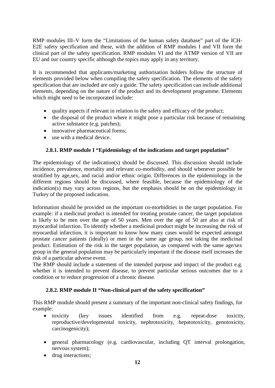RMP modules III–V form the "Limitations of the human safety database" part of the ICH-E2E safety specification and these, with the addition of RMP modules I and VII form the clinical part of the safety specification. RMP modules VI and the ATMP version of VII are EU and our country specific although the topics may apply in any territory.

It is recommended that applicants/marketing authorisation holders follow the structure of elements provided below when compiling the safety specification. The elements of the safety specification that are included are only a guide. The safety specification can include additional elements, depending on the nature of the product and its development programme. Elements which might need to be incorporated include:

- quality aspects if relevant in relation to the safety and efficacy of the product;
- the disposal of the product where it might pose a particular risk because of remaining active substance (e.g. patches);
- innovative pharmaceutical forms;
- use with a medical device.

## **2.8.1. RMP module I "Epidemiology of the indications and target population"**

The epidemiology of the indication(s) should be discussed. This discussion should include incidence, prevalence, mortality and relevant co-morbidity, and should whenever possible be stratified by age,sex, and racial and/or ethnic origin. Differences in the epidemiology in the different regions should be discussed, where feasible, because the epidemiology of the indication(s) may vary across regions, but the emphasis should be on the epidemiology in Turkey of the proposed indication.

Information should be provided on the important co-morbidities in the target population. For example: if a medicinal product is intended for treating prostate cancer, the target population is likely to be men over the age of 50 years. Men over the age of 50 are also at risk of myocardial infarction. To identify whether a medicinal product might be increasing the risk of myocardial infarction, it is important to know how many cases would be expected amongst prostate cancer patients (ideally) or men in the same age group, not taking the medicinal product. Estimation of the risk in the target population, as compared with the same age/sex group in the general population may be particularly important if the disease itself increases the risk of a particular adverse event.

The RMP should include a statement of the intended purpose and impact of the product e.g. whether it is intended to prevent disease, to prevent particular serious outcomes due to a condition or to reduce progression of a chronic disease.

## **2.8.2. RMP module II "Non-clinical part of the safety specification"**

This RMP module should present a summary of the important non-clinical safety findings, for example:

- toxicity (key issues identified from e.g. repeat-dose toxicity, reproductive/developmental toxicity, nephrotoxicity, hepatotoxicity, genotoxicity, carcinogenicity);
- general pharmacology (e.g. cardiovascular, including QT interval prolongation, nervous system);
- drug interactions;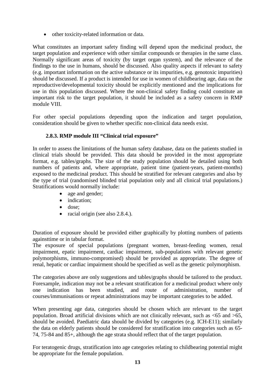• other toxicity-related information or data.

What constitutes an important safety finding will depend upon the medicinal product, the target population and experience with other similar compounds or therapies in the same class. Normally significant areas of toxicity (by target organ system), and the relevance of the findings to the use in humans, should be discussed. Also quality aspects if relevant to safety (e.g. important information on the active substance or its impurities, e.g. genotoxic impurities) should be discussed. If a product is intended for use in women of childbearing age, data on the reproductive/developmental toxicity should be explicitly mentioned and the implications for use in this population discussed. Where the non-clinical safety finding could constitute an important risk to the target population, it should be included as a safety concern in RMP module VIII.

For other special populations depending upon the indication and target population, consideration should be given to whether specific non-clinical data needs exist.

# **2.8.3. RMP module III "Clinical trial exposure"**

In order to assess the limitations of the human safety database, data on the patients studied in clinical trials should be provided. This data should be provided in the most appropriate format, e.g. tables/graphs. The size of the study population should be detailed using both numbers of patients and, where appropriate, patient time (patient-years, patient-months) exposed to the medicinal product. This should be stratified for relevant categories and also by the type of trial (randomised blinded trial population only and all clinical trial populations.) Stratifications would normally include:

- age and gender;
- indication:
- dose:
- racial origin (see also 2.8.4.).

Duration of exposure should be provided either graphically by plotting numbers of patients againsttime or in tabular format.

The exposure of special populations (pregnant women, breast-feeding women, renal impairment, epatic impairment, cardiac impairment, sub-populations with relevant genetic polymorphisms, immuno-compromised) should be provided as appropriate. The degree of renal, hepatic or cardiac impairment should be specified as well as the genetic polymorphism.

The categories above are only suggestions and tables/graphs should be tailored to the product. Forexample, indication may not be a relevant stratification for a medicinal product where only one indication has been studied, and route of administration, number of courses/immunisations or repeat administrations may be important categories to be added.

When presenting age data, categories should be chosen which are relevant to the target population. Broad artificial divisions which are not clinically relevant, such as  $\langle 65 \rangle$  and  $\langle 65 \rangle$ , should be avoided. Paediatric data should be divided by categories (e.g. ICH-E11); similarly the data on elderly patients should be considered for stratification into categories such as 65- 74, 75-84 and 85+, although the age strata should reflect that of the target population.

For teratogenic drugs, stratification into age categories relating to childbearing potential might be appropriate for the female population.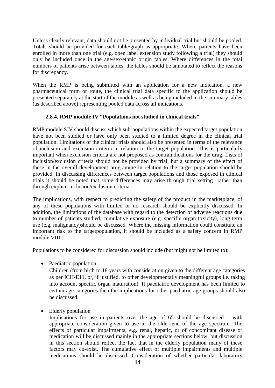Unless clearly relevant, data should not be presented by individual trial but should be pooled. Totals should be provided for each table/graph as appropriate. Where patients have been enrolled in more than one trial (e.g. open label extension study following a trial) they should only be included once in the age/sex/ethnic origin tables. Where differences in the total numbers of patients arise between tables, the tables should be annotated to reflect the reasons for discrepancy.

When the RMP is being submitted with an application for a new indication, a new pharmaceutical form or route, the clinical trial data specific to the application should be presented separately at the start of the module as well as being included in the summary tables (as described above) representing pooled data across all indications.

#### **2.8.4. RMP module IV "Populations not studied in clinical trials"**

RMP module SIV should discuss which sub-populations within the expected target population have not been studied or have only been studied to a limited degree in the clinical trial population. Limitations of the clinical trials should also be presented in terms of the relevance of inclusion and exclusion criteria in relation to the target population. This is particularly important when exclusion criteria are not proposed as contraindications for the drug. Lists of inclusion/exclusion criteria should not be provided by trial, but a summary of the effect of these in the overall development programme in relation to the target population should be provided. In discussing differences between target populations and those exposed in clinical trials it should be noted that some differences may arise through trial setting rather than through explicit inclusion/exclusion criteria.

The implications, with respect to predicting the safety of the product in the marketplace, of any of these populations with limited or no research should be explicitly discussed. In addition, the limitations of the database with regard to the detection of adverse reactions due to number of patients studied, cumulative exposure (e.g. specific organ toxicity), long term use (e.g. malignancy)should be discussed. Where the missing information could constitute an important risk to the targetpopulation, it should be included as a safety concern in RMP module VIII.

Populations to be considered for discussion should include (but might not be limited to):

• Paediatric population

Children (from birth to 18 years with consideration given to the different age categories as per ICH-E11, or, if justified, to other developmentally meaningful groups i.e. taking into account specific organ maturation). If paediatric development has been limited to certain age categories then the implications for other paediatric age groups should also be discussed.

• Elderly population

Implications for use in patients over the age of 65 should be discussed – with appropriate consideration given to use in the older end of the age spectrum. The effects of particular impairments, e.g. renal, hepatic, or of concomitant disease or medication will be discussed mainly in the appropriate sections below, but discussion in this section should reflect the fact that in the elderly population many of these factors may co-exist. The cumulative effect of multiple impairments and multiple medications should be discussed. Consideration of whether particular laboratory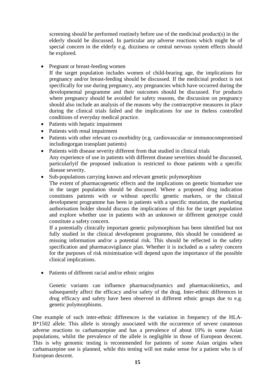screening should be performed routinely before use of the medicinal product(s) in the elderly should be discussed. In particular any adverse reactions which might be of special concern in the elderly e.g. dizziness or central nervous system effects should be explored.

• Pregnant or breast-feeding women

If the target population includes women of child-bearing age, the implications for pregnancy and/or breast-feeding should be discussed. If the medicinal product is not specifically for use during pregnancy, any pregnancies which have occurred during the developmental programme and their outcomes should be discussed. For products where pregnancy should be avoided for safety reasons, the discussion on pregnancy should also include an analysis of the reasons why the contraceptive measures in place during the clinical trials failed and the implications for use in theless controlled conditions of everyday medical practice.

- Patients with hepatic impairment
- Patients with renal impairment
- Patients with other relevant co-morbidity (e.g. cardiovascular or immunocompromised includingorgan transplant patients)
- Patients with disease severity different from that studied in clinical trials Any experience of use in patients with different disease severities should be discussed, particularlyif the proposed indication is restricted to those patients with a specific disease severity.
- Sub-populations carrying known and relevant genetic polymorphism

The extent of pharmacogenetic effects and the implications on genetic biomarker use in the target population should be discussed. Where a proposed drug indication constitutes patients with or without specific genetic markers, or the clinical development programme has been in patients with a specific mutation, the marketing authorisation holder should discuss the implications of this for the target population and explore whether use in patients with an unknown or different genotype could constitute a safety concern.

If a potentially clinically important genetic polymorphism has been identified but not fully studied in the clinical development programme, this should be considered as missing information and/or a potential risk. This should be reflected in the safety specification and pharmacovigilance plan. Whether it is included as a safety concern for the purposes of risk minimisation will depend upon the importance of the possible clinical implications.

• Patients of different racial and/or ethnic origins

Genetic variants can influence pharmacodynamics and pharmacokinetics, and subsequently affect the efficacy and/or safety of the drug. Inter-ethnic differences in drug efficacy and safety have been observed in different ethnic groups due to e.g. genetic polymorphisms.

One example of such inter-ethnic differences is the variation in frequency of the HLA-B\*1502 allele. This allele is strongly associated with the occurrence of severe cutaneous adverse reactions to carbamazepine and has a prevalence of about 10% in some Asian populations, whilst the prevalence of the allele is negligible in those of European descent. This is why genomic testing is recommended for patients of some Asian origins when carbamazepine use is planned, while this testing will not make sense for a patient who is of European descent.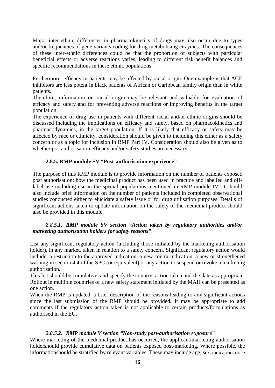Major inter-ethnic differences in pharmacokinetics of drugs may also occur due to types and/or frequencies of gene variants coding for drug metabolising enzymes. The consequences of these inter-ethnic differences could be that the proportion of subjects with particular beneficial effects or adverse reactions varies, leading to different risk-benefit balances and specific recommendations in these ethnic populations.

Furthermore, efficacy in patients may be affected by racial origin. One example is that ACE inhibitors are less potent in black patients of African or Caribbean family origin than in white patients.

Therefore, information on racial origin may be relevant and valuable for evaluation of efficacy and safety and for preventing adverse reactions or improving benefits in the target population.

The experience of drug use in patients with different racial and/or ethnic origins should be discussed including the implications on efficacy and safety, based on pharmacokinetics and pharmacodynamics, in the target population. If it is likely that efficacy or safety may be affected by race or ethnicity, consideration should be given to including this either as a safety concern or as a topic for inclusion in RMP Part IV. Consideration should also be given as to whether postauthorisation efficacy and/or safety studies are necessary.

## **2.8.5. RMP module SV "Post-authorisation experience"**

<span id="page-16-0"></span>The purpose of this RMP module is to provide information on the number of patients exposed post authorisation; how the medicinal product has been used in practice and labelled and offlabel use including use in the special populations mentioned in RMP module IV. It should also include brief information on the number of patients included in completed observational studies conducted either to elucidate a safety issue or for drug utilisation purposes. Details of significant actions taken to update information on the safety of the medicinal product should also be provided in this module.

#### *2.8.5.1. RMP module SV section "Action taken by regulatory authorities and/or marketing authorisation holders for safety reasons"*

List any significant regulatory action (including those initiated by the marketing authorisation holder), in any market, taken in relation to a safety concern. Significant regulatory action would include: a restriction to the approved indication, a new contra-indication, a new or strengthened warning in section 4.4 of the SPC (or equivalent) or any action to suspend or revoke a marketing authorisation.

This list should be cumulative, and specify the country, action taken and the date as appropriate. Rollout in multiple countries of a new safety statement initiated by the MAH can be presented as one action.

When the RMP is updated, a brief description of the reasons leading to any significant actions since the last submission of the RMP should be provided. It may be appropriate to add comments if the regulatory action taken is not applicable to certain products/formulations as authorised in the EU.

#### *2.8.5.2. RMP module V section "Non-study post-authorisation exposure"*

Where marketing of the medicinal product has occurred, the applicant/marketing authorisation holdershould provide cumulative data on patients exposed post-marketing. Where possible, the informationshould be stratified by relevant variables. These may include age, sex, indication, dose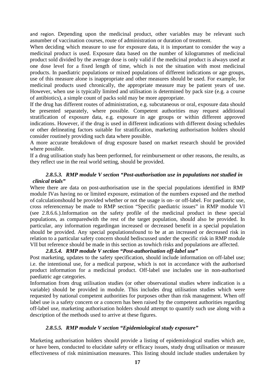and region. Depending upon the medicinal product, other variables may be relevant such asnumber of vaccination courses, route of administration or duration of treatment.

When deciding which measure to use for exposure data, it is important to consider the way a medicinal product is used. Exposure data based on the number of kilogrammes of medicinal product sold divided by the average dose is only valid if the medicinal product is always used at one dose level for a fixed length of time, which is not the situation with most medicinal products. In paediatric populations or mixed populations of different indications or age groups, use of this measure alone is inappropriate and other measures should be used. For example, for medicinal products used chronically, the appropriate measure may be patient years of use. However, when use is typically limited and utilisation is determined by pack size (e.g. a course of antibiotics), a simple count of packs sold may be more appropriate.

If the drug has different routes of administration, e.g. subcutaneous or oral, exposure data should be presented separately, where possible. Competent authorities may request additional stratification of exposure data, e.g. exposure in age groups or within different approved indications. However, if the drug is used in different indications with different dosing schedules or other delineating factors suitable for stratification, marketing authorisation holders should consider routinely providing such data where possible.

A more accurate breakdown of drug exposure based on market research should be provided where possible.

If a drug utilisation study has been performed, for reimbursement or other reasons, the results, as they reflect use in the real world setting, should be provided.

#### *2.8.5.3. RMP module V section "Post-authorisation use in populations not studied in clinical trials"*

Where there are data on post-authorisation use in the special populations identified in RMP module IVas having no or limited exposure, estimation of the numbers exposed and the method of calculationshould be provided whether or not the usage is on- or off-label. For paediatric use, cross referencemay be made to RMP section "Specific paediatric issues" in RMP module VI (see 2.8.6.6.).Information on the safety profile of the medicinal product in these special populations, as comparedwith the rest of the target population, should also be provided. In particular, any information regardingan increased or decreased benefit in a special population should be provided. Any special populationsfound to be at an increased or decreased risk in relation to a particular safety concern should bediscussed under the specific risk in RMP module VII but reference should be made in this section as towhich risks and populations are affected.

## *2.8.5.4. RMP module V section "Post-authorisation off-label use"*

Post marketing, updates to the safety specification, should include information on off-label use; i.e. the intentional use, for a medical purpose, which is not in accordance with the authorised product information for a medicinal product. Off-label use includes use in non-authorised paediatric age categories.

Information from drug utilisation studies (or other observational studies where indication is a variable) should be provided in module. This includes drug utilisation studies which were requested by national competent authorities for purposes other than risk management. When off label use is a safety concern or a concern has been raised by the competent authorities regarding off-label use, marketing authorisation holders should attempt to quantify such use along with a description of the methods used to arrive at these figures.

## *2.8.5.5. RMP module V section "Epidemiological study exposure"*

Marketing authorisation holders should provide a listing of epidemiological studies which are, or have been, conducted to elucidate safety or efficacy issues, study drug utilisation or measure effectiveness of risk minimisation measures. This listing should include studies undertaken by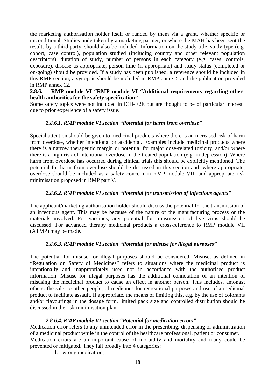the marketing authorisation holder itself or funded by them via a grant, whether specific or unconditional. Studies undertaken by a marketing partner, or where the MAH has been sent the results by a third party, should also be included. Information on the study title, study type (e.g. cohort, case control), population studied (including country and other relevant population descriptors), duration of study, number of persons in each category (e.g. cases, controls, exposure), disease as appropriate, person time (if appropriate) and study status (completed or on-going) should be provided. If a study has been published, a reference should be included in this RMP section, a synopsis should be included in RMP annex 5 and the publication provided in RMP annex 12.

## <span id="page-18-0"></span>**2.8.6. RMP module VI "RMP module VI "Additional requirements regarding other health authorities for the safety specification"**

<span id="page-18-1"></span>Some safety topics were not included in ICH-E2E but are thought to be of particular interest due to prior experience of a safety issue.

## *2.8.6.1. RMP module VI section "Potential for harm from overdose"*

Special attention should be given to medicinal products where there is an increased risk of harm from overdose, whether intentional or accidental. Examples include medicinal products where there is a narrow therapeutic margin or potential for major dose-related toxicity, and/or where there is a high risk of intentional overdose in the treated population (e.g. in depression). Where harm from overdose has occurred during clinical trials this should be explicitly mentioned. The potential for harm from overdose should be discussed in this section and, where appropriate, overdose should be included as a safety concern in RMP module VIII and appropriate risk minimisation proposed in RMP part V.

## *2.8.6.2. RMP module VI section "Potential for transmission of infectious agents"*

The applicant/marketing authorisation holder should discuss the potential for the transmission of an infectious agent. This may be because of the nature of the manufacturing process or the materials involved. For vaccines, any potential for transmission of live virus should be discussed. For advanced therapy medicinal products a cross-reference to RMP module VII (ATMP) may be made.

## *2.8.6.3. RMP module VI section "Potential for misuse for illegal purposes"*

The potential for misuse for illegal purposes should be considered. Misuse, as defined in "Regulation on Safety of Medicines" refers to situations where the medicinal product is intentionally and inappropriately used not in accordance with the authorised product information. Misuse for illegal purposes has the additional connotation of an intention of misusing the medicinal product to cause an effect in another person. This includes, amongst others: the sale, to other people, of medicines for recreational purposes and use of a medicinal product to facilitate assault. If appropriate, the means of limiting this, e.g. by the use of colorants and/or flavourings in the dosage form, limited pack size and controlled distribution should be discussed in the risk minimisation plan.

## *2.8.6.4. RMP module VI section "Potential for medication errors"*

Medication error refers to any unintended error in the prescribing, dispensing or administration of a medicinal product while in the control of the healthcare professional, patient or consumer. Medication errors are an important cause of morbidity and mortality and many could be

- prevented or mitigated. They fall broadly into 4 categories:
	- 1. wrong medication;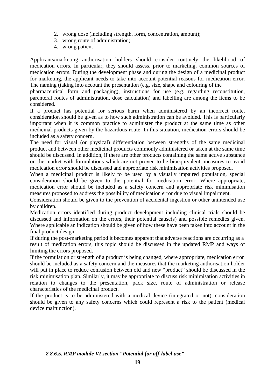- 2. wrong dose (including strength, form, concentration, amount);
- 3. wrong route of administration;
- 4. wrong patient

Applicants/marketing authorisation holders should consider routinely the likelihood of medication errors. In particular, they should assess, prior to marketing, common sources of medication errors. During the development phase and during the design of a medicinal product for marketing, the applicant needs to take into account potential reasons for medication error. The naming (taking into account the presentation (e.g. size, shape and colouring of the

pharmaceutical form and packaging), instructions for use (e.g. regarding reconstitution, parenteral routes of administration, dose calculation) and labelling are among the items to be considered.

If a product has potential for serious harm when administered by an incorrect route, consideration should be given as to how such administration can be avoided. This is particularly important when it is common practice to administer the product at the same time as other medicinal products given by the hazardous route. In this situation, medication errors should be included as a safety concern.

The need for visual (or physical) differentiation between strengths of the same medicinal product and between other medicinal products commonly administered or taken at the same time should be discussed. In addition, if there are other products containing the same active substance on the market with formulations which are not proven to be bioequivalent, measures to avoid medication error should be discussed and appropriate risk minimisation activities proposed.

When a medicinal product is likely to be used by a visually impaired population, special consideration should be given to the potential for medication error. Where appropriate, medication error should be included as a safety concern and appropriate risk minimisation measures proposed to address the possibility of medication error due to visual impairment.

Consideration should be given to the prevention of accidental ingestion or other unintended use by children.

Medication errors identified during product development including clinical trials should be discussed and information on the errors, their potential cause(s) and possible remedies given. Where applicable an indication should be given of how these have been taken into account in the final product design.

If during the post-marketing period it becomes apparent that adverse reactions are occurring as a result of medication errors, this topic should be discussed in the updated RMP and ways of limiting the errors proposed.

If the formulation or strength of a product is being changed, where appropriate, medication error should be included as a safety concern and the measures that the marketing authorisation holder will put in place to reduce confusion between old and new "product" should be discussed in the risk minimisation plan. Similarly, it may be appropriate to discuss risk minimisation activities in relation to changes to the presentation, pack size, route of administration or release characteristics of the medicinal product.

If the product is to be administered with a medical device (integrated or not), consideration should be given to any safety concerns which could represent a risk to the patient (medical device malfunction).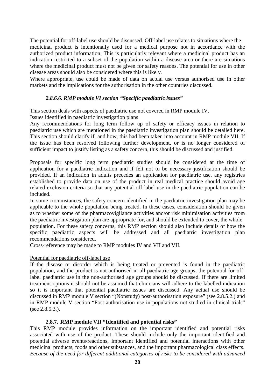The potential for off-label use should be discussed. Off-label use relates to situations where the medicinal product is intentionally used for a medical purpose not in accordance with the authorized product information. This is particularly relevant where a medicinal product has an indication restricted to a subset of the population within a disease area or there are situations where the medicinal product must not be given for safety reasons. The potential for use in other disease areas should also be considered where this is likely.

Where appropriate, use could be made of data on actual use versus authorised use in other markets and the implications for the authorisation in the other countries discussed.

#### *2.8.6.6. RMP module VI section "Specific paediatric issues"*

This section deals with aspects of paediatric use not covered in RMP module IV. Issues identified in paediatric investigation plans

Any recommendations for long term follow up of safety or efficacy issues in relation to paediatric use which are mentioned in the paediatric investigation plan should be detailed here. This section should clarify if, and how, this had been taken into account in RMP module VII. If the issue has been resolved following further development, or is no longer considered of sufficient impact to justify listing as a safety concern, this should be discussed and justified.

Proposals for specific long term paediatric studies should be considered at the time of application for a paediatric indication and if felt not to be necessary justification should be provided. If an indication in adults precedes an application for paediatric use, any registries established to provide data on use of the product in real medical practice should avoid age related exclusion criteria so that any potential off-label use in the paediatric population can be included.

In some circumstances, the safety concern identified in the paediatric investigation plan may be applicable to the whole population being treated. In these cases, consideration should be given as to whether some of the pharmacovigilance activities and/or risk minimisation activities from the paediatric investigation plan are appropriate for, and should be extended to cover, the whole population. For these safety concerns, this RMP section should also include details of how the specific paediatric aspects will be addressed and all paediatric investigation plan recommendations considered.

Cross-reference may be made to RMP modules IV and VII and VII.

#### Potential for paediatric off-label use

If the disease or disorder which is being treated or prevented is found in the paediatric population, and the product is not authorised in all paediatric age groups, the potential for offlabel paediatric use in the non-authorised age groups should be discussed. If there are limited treatment options it should not be assumed that clinicians will adhere to the labelled indication so it is important that potential paediatric issues are discussed. Any actual use should be discussed in RMP module V section "(Nonstudy) post-authorisation exposure" (see 2.8.5.2.) and in RMP module V section "Post-authorisation use in populations not studied in clinical trials" (see 2.8.5.3.).

## **2.8.7. RMP module VII "Identified and potential risks"**

This RMP module provides information on the important identified and potential risks associated with use of the product. These should include only the important identified and potential adverse events/reactions, important identified and potential interactions with other medicinal products, foods and other substances, and the important pharmacological class effects. *Because of the need for different additional categories of risks to be considered with advanced*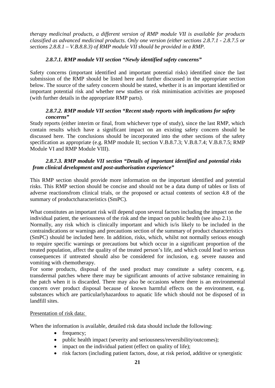*therapy medicinal products, a different version of RMP module VII is available for products classified as advanced medicinal products. Only one version (either sections 2.8.7.1 - 2.8.7.5 or sections 2.8.8.1 – V.B.8.8.3) of RMP module VII should be provided in a RMP.*

## *2.8.7.1. RMP module VII section "Newly identified safety concerns"*

Safety concerns (important identified and important potential risks) identified since the last submission of the RMP should be listed here and further discussed in the appropriate section below. The source of the safety concern should be stated, whether it is an important identified or important potential risk and whether new studies or risk minimisation activities are proposed (with further details in the appropriate RMP parts).

#### *2.8.7.2. RMP module VII section "Recent study reports with implications for safety concerns"*

Study reports (either interim or final, from whichever type of study), since the last RMP, which contain results which have a significant impact on an existing safety concern should be discussed here. The conclusions should be incorporated into the other sections of the safety specification as appropriate (e.g. RMP module II; section V.B.8.7.3; V.B.8.7.4; V.B.8.7.5; RMP Module VI and RMP Module VIII).

## *2.8.7.3. RMP module VII section "Details of important identified and potential risks from clinical development and post-authorisation experience"*

This RMP section should provide more information on the important identified and potential risks. This RMP section should be concise and should not be a data dump of tables or lists of adverse reactionsfrom clinical trials, or the proposed or actual contents of section 4.8 of the summary of productcharacteristics (SmPC).

What constitutes an important risk will depend upon several factors including the impact on the individual patient, the seriousness of the risk and the impact on public health (see also 2.1). Normally, any risk which is clinically important and which is/is likely to be included in the contraindications or warnings and precautions section of the summary of product characteristics (SmPC) should be included here. In addition, risks, which, whilst not normally serious enough to require specific warnings or precautions but which occur in a significant proportion of the treated population, affect the quality of the treated person's life, and which could lead to serious consequences if untreated should also be considered for inclusion, e.g. severe nausea and vomiting with chemotherapy.

For some products, disposal of the used product may constitute a safety concern, e.g. transdermal patches where there may be significant amounts of active substance remaining in the patch when it is discarded. There may also be occasions where there is an environmental concern over product disposal because of known harmful effects on the environment, e.g. substances which are particularlyhazardous to aquatic life which should not be disposed of in landfill sites.

## Presentation of risk data:

When the information is available, detailed risk data should include the following:

- frequency;
- public health impact (severity and seriousness/reversibility/outcomes);
- impact on the individual patient (effect on quality of life);
- risk factors (including patient factors, dose, at risk period, additive or synergistic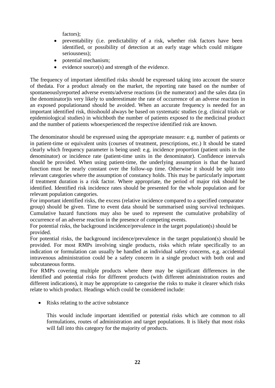factors);

- preventability (i.e. predictability of a risk, whether risk factors have been identified, or possibility of detection at an early stage which could mitigate seriousness);
- potential mechanism;
- evidence source(s) and strength of the evidence.

The frequency of important identified risks should be expressed taking into account the source of thedata. For a product already on the market, the reporting rate based on the number of spontaneouslyreported adverse events/adverse reactions (in the numerator) and the sales data (in the denominator)is very likely to underestimate the rate of occurrence of an adverse reaction in an exposed populationand should be avoided. When an accurate frequency is needed for an important identified risk, thisshould always be based on systematic studies (e.g. clinical trials or epidemiological studies) in whichboth the number of patients exposed to the medicinal product and the number of patients whoexperienced the respective identified risk are known.

The denominator should be expressed using the appropriate measure: e.g. number of patients or in patient-time or equivalent units (courses of treatment, prescriptions, etc.) It should be stated clearly which frequency parameter is being used: e.g. incidence proportion (patient units in the denominator) or incidence rate (patient-time units in the denominator). Confidence intervals should be provided. When using patient-time, the underlying assumption is that the hazard function must be nearly constant over the follow-up time. Otherwise it should be split into relevant categories where the assumption of constancy holds. This may be particularly important if treatment duration is a risk factor. Where appropriate, the period of major risk should be identified. Identified risk incidence rates should be presented for the whole population and for relevant population categories.

For important identified risks, the excess (relative incidence compared to a specified comparator group) should be given. Time to event data should be summarised using survival techniques. Cumulative hazard functions may also be used to represent the cumulative probability of occurrence of an adverse reaction in the presence of competing events.

For potential risks, the background incidence/prevalence in the target population(s) should be provided.

For potential risks, the background incidence/prevalence in the target population(s) should be provided. For most RMPs involving single products, risks which relate specifically to an indication or formulation can usually be handled as individual safety concerns, e.g. accidental intravenous administration could be a safety concern in a single product with both oral and subcutaneous forms.

For RMPs covering multiple products where there may be significant differences in the identified and potential risks for different products (with different administration routes and different indications), it may be appropriate to categorise the risks to make it clearer which risks relate to which product. Headings which could be considered include:

• Risks relating to the active substance

This would include important identified or potential risks which are common to all formulations, routes of administration and target populations. It is likely that most risks will fall into this category for the majority of products.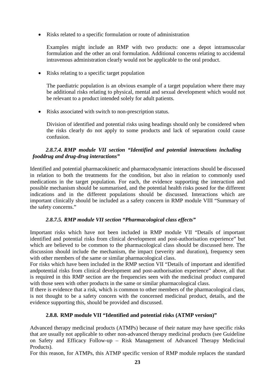• Risks related to a specific formulation or route of administration

Examples might include an RMP with two products: one a depot intramuscular formulation and the other an oral formulation. Additional concerns relating to accidental intravenous administration clearly would not be applicable to the oral product.

• Risks relating to a specific target population

The paediatric population is an obvious example of a target population where there may be additional risks relating to physical, mental and sexual development which would not be relevant to a product intended solely for adult patients.

• Risks associated with switch to non-prescription status.

Division of identified and potential risks using headings should only be considered when the risks clearly do not apply to some products and lack of separation could cause confusion.

## *2.8.7.4. RMP module VII section "Identified and potential interactions including fooddrug and drug-drug interactions"*

Identified and potential pharmacokinetic and pharmacodynamic interactions should be discussed in relation to both the treatments for the condition, but also in relation to commonly used medications in the target population. For each, the evidence supporting the interaction and possible mechanism should be summarised, and the potential health risks posed for the different indications and in the different populations should be discussed. Interactions which are important clinically should be included as a safety concern in RMP module VIII "Summary of the safety concerns."

## *2.8.7.5. RMP module VII section "Pharmacological class effects"*

Important risks which have not been included in RMP module VII "Details of important identified and potential risks from clinical development and post-authorisation experience" but which are believed to be common to the pharmacological class should be discussed here. The discussion should include the mechanism, the impact (severity and duration), frequency seen with other members of the same or similar pharmacological class.

For risks which have been included in the RMP section VII "Details of important and identified andpotential risks from clinical development and post-authorisation experience" above, all that is required in this RMP section are the frequencies seen with the medicinal product compared with those seen with other products in the same or similar pharmacological class.

If there is evidence that a risk, which is common to other members of the pharmacological class, is not thought to be a safety concern with the concerned medicinal product, details, and the evidence supporting this, should be provided and discussed.

## **2.8.8. RMP module VII "Identified and potential risks (ATMP version)"**

Advanced therapy medicinal products (ATMPs) because of their nature may have specific risks that are usually not applicable to other non-advanced therapy medicinal products (see Guideline on Safety and Efficacy Follow-up – Risk Management of Advanced Therapy Medicinal Products).

For this reason, for ATMPs, this ATMP specific version of RMP module replaces the standard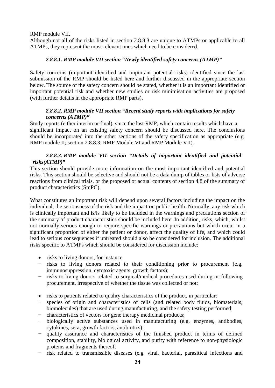RMP module VII.

Although not all of the risks listed in section 2.8.8.3 are unique to ATMPs or applicable to all ATMPs, they represent the most relevant ones which need to be considered.

## *2.8.8.1. RMP module VII section "Newly identified safety concerns (ATMP)"*

Safety concerns (important identified and important potential risks) identified since the last submission of the RMP should be listed here and further discussed in the appropriate section below. The source of the safety concern should be stated, whether it is an important identified or important potential risk and whether new studies or risk minimisation activities are proposed (with further details in the appropriate RMP parts).

#### *2.8.8.2. RMP module VII section "Recent study reports with implications for safety concerns (ATMP)"*

Study reports (either interim or final), since the last RMP, which contain results which have a significant impact on an existing safety concern should be discussed here. The conclusions should be incorporated into the other sections of the safety specification as appropriate (e.g. RMP module II; section 2.8.8.3; RMP Module VI and RMP Module VII).

## *2.8.8.3. RMP module VII section "Details of important identified and potential risks(ATMP)"*

This section should provide more information on the most important identified and potential risks. This section should be selective and should not be a data dump of tables or lists of adverse reactions from clinical trials, or the proposed or actual contents of section 4.8 of the summary of product characteristics (SmPC).

What constitutes an important risk will depend upon several factors including the impact on the individual, the seriousness of the risk and the impact on public health. Normally, any risk which is clinically important and is/is likely to be included in the warnings and precautions section of the summary of product characteristics should be included here. In addition, risks, which, whilst not normally serious enough to require specific warnings or precautions but which occur in a significant proportion of either the patient or donor, affect the quality of life, and which could lead to serious consequences if untreated should also be considered for inclusion. The additional risks specific to ATMPs which should be considered for discussion include:

- risks to living donors, for instance:
- − risks to living donors related to their conditioning prior to procurement (e.g. immunosuppression, cytotoxic agents, growth factors);
- − risks to living donors related to surgical/medical procedures used during or following procurement, irrespective of whether the tissue was collected or not;
- risks to patients related to quality characteristics of the product, in particular:<br>
species of origin and characteristics of cells (and related body fluids, bi
- species of origin and characteristics of cells (and related body fluids, biomaterials, biomolecules) that are used during manufacturing, and the safety testing performed;
- − characteristics of vectors for gene therapy medicinal products;
- − biologically active substances used in manufacturing (e.g. enzymes, antibodies, cytokines, sera, growth factors, antibiotics);
- − quality assurance and characteristics of the finished product in terms of defined composition, stability, biological activity, and purity with reference to non-physiologic proteins and fragments thereof;
- − risk related to transmissible diseases (e.g. viral, bacterial, parasitical infections and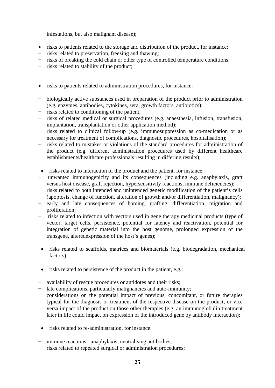infestations, but also malignant disease);

- risks to patients related to the storage and distribution of the product, for instance:
- − risks related to preservation, freezing and thawing;
- risks of breaking the cold chain or other type of controlled temperature conditions;
- − risks related to stability of the product;
- risks to patients related to administration procedures, for instance:
- − biologically active substances used in preparation of the product prior to administration (e.g. enzymes, antibodies, cytokines, sera, growth factors, antibiotics);
- − risks related to conditioning of the patient;
- − risks of related medical or surgical procedures (e.g. anaesthesia, infusion, transfusion, implantation, transplantation or other application method);
- − risks related to clinical follow-up (e.g. immunosuppression as co-medication or as necessary for treatment of complications, diagnostic procedures, hospitalisation);
- − risks related to mistakes or violations of the standard procedures for administration of the product (e.g. different administration procedures used by different healthcare establishments/healthcare professionals resulting in differing results);
- risks related to interaction of the product and the patient, for instance:
- − unwanted immunogenicity and its consequences (including e.g. anaphylaxis, graft versus host disease, graft rejection, hypersensitivity reactions, immune deficiencies);
- − risks related to both intended and unintended genetic modification of the patient's cells (apoptosis, change of function, alteration of growth and/or differentiation, malignancy);
- − early and late consequences of homing, grafting, differentiation, migration and proliferation;
- − risks related to infection with vectors used in gene therapy medicinal products (type of vector, target cells, persistence, potential for latency and reactivation, potential for integration of genetic material into the host genome, prolonged expression of the transgene, alteredexpression of the host's genes);
- risks related to scaffolds, matrices and biomaterials (e.g. biodegradation, mechanical factors);
- risks related to persistence of the product in the patient, e.g.:
- − availability of rescue procedures or antidotes and their risks;
- − late complications, particularly malignancies and auto-immunity;
- − considerations on the potential impact of previous, concomitant, or future therapies typical for the diagnosis or treatment of the respective disease on the product, or vice versa impact of the product on those other therapies (e.g. an immunoglobulin treatment later in life could impact on expression of the introduced gene by antibody interaction);
- risks related to re-administration, for instance:
- − immune reactions anaphylaxis, neutralising antibodies;
- − risks related to repeated surgical or administration procedures;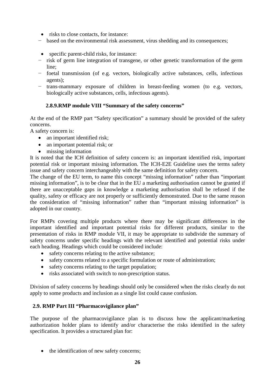- risks to close contacts, for instance:
- − based on the environmental risk assessment, virus shedding and its consequences;
- specific parent-child risks, for instance:
- − risk of germ line integration of transgene, or other genetic transformation of the germ line;
- − foetal transmission (of e.g. vectors, biologically active substances, cells, infectious agents);
- − trans-mammary exposure of children in breast-feeding women (to e.g. vectors, biologically active substances, cells, infectious agents).

# **2.8.9.RMP module VIII "Summary of the safety concerns"**

<span id="page-26-0"></span>At the end of the RMP part "Safety specification" a summary should be provided of the safety concerns.

A safety concern is:

- an important identified risk;
- an important potential risk; or
- missing information

It is noted that the ICH definition of safety concern is: an important identified risk, important potential risk or important missing information. The ICH-E2E Guideline uses the terms safety issue and safety concern interchangeably with the same definition for safety concern.

The change of the EU term, to name this concept "missing information" rather than "important missing information", is to be clear that in the EU a marketing authorisation cannot be granted if there are unacceptable gaps in knowledge a marketing authorisation shall be refused if the quality, safety or efficacy are not properly or sufficiently demonstrated. Due to the same reason the consideration of "missing information" rather than "important missing information" is adopted in our country.

For RMPs covering multiple products where there may be significant differences in the important identified and important potential risks for different products, similar to the presentation of risks in RMP module VII, it may be appropriate to subdivide the summary of safety concerns under specific headings with the relevant identified and potential risks under each heading. Headings which could be considered include:

- safety concerns relating to the active substance;
- safety concerns related to a specific formulation or route of administration;
- safety concerns relating to the target population;
- risks associated with switch to non-prescription status.

Division of safety concerns by headings should only be considered when the risks clearly do not apply to some products and inclusion as a single list could cause confusion.

## **2.9. RMP Part III "Pharmacovigilance plan"**

The purpose of the pharmacovigilance plan is to discuss how the applicant/marketing authorization holder plans to identify and/or characterise the risks identified in the safety specification. It provides a structured plan for:

• the identification of new safety concerns;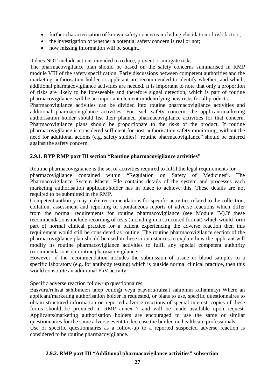- further characterisation of known safety concerns including elucidation of risk factors;
- the investigation of whether a potential safety concern is real or not;
- how missing information will be sought.

It does NOT include actions intended to reduce, prevent or mitigate risks

The pharmacovigilance plan should be based on the safety concerns summarised in RMP module VIII of the safety specification. Early discussions between competent authorities and the marketing authorisation holder or applicant are recommended to identify whether, and which, additional pharmacovigilance activities are needed. It is important to note that only a proportion of risks are likely to be foreseeable and therefore signal detection, which is part of routine pharmacovigilance, will be an important element in identifying new risks for all products.

Pharmacovigilance activities can be divided into routine pharmacovigilance activities and additional pharmacovigilance activities. For each safety concern, the applicant/marketing authorisation holder should list their planned pharmacovigilance activities for that concern. Pharmacovigilance plans should be proportionate to the risks of the product. If routine pharmacovigilance is considered sufficient for post-authorisation safety monitoring, without the need for additional actions (e.g. safety studies) "routine pharmacovigilance" should be entered against the safety concern.

## <span id="page-27-0"></span>**2.9.1. RYP RMP part III section "Routine pharmacovigilance activities"**

Routine pharmacovigilance is the set of activities required to fulfil the legal requirements for pharmacovigilance contained within "Regulation on Safety of Medicines". The Pharmacovigilance System Master File contains details of the system and processes each marketing authorisation applicant/holder has in place to achieve this. These details are not required to be submitted in the RMP.

Competent authority may make recommendations for specific activities related to the collection, collation, assessment and reporting of spontaneous reports of adverse reactions which differ from the normal requirements for routine pharmacovigilance (see Module IV).If these recommendations include recording of tests (including in a structured format) which would form part of normal clinical practice for a patient experiencing the adverse reaction then this requirement would still be considered as routine. The routine pharmacovigilance section of the pharmacovigilance plan should be used in these circumstances to explain how the applicant will modify its routine pharmacovigilance activities to fulfil any special competent authority recommendations on routine pharmacovigilance.

However, if the recommendation includes the submission of tissue or blood samples to a specific laboratory (e.g. for antibody testing) which is outside normal clinical practice, then this would constitute an additional PhV activity.

## Specific adverse reaction follow-up questionnaires

Başvuru/ruhsat sahibinden talep edildiği veya başvuru/ruhsat sahibinin kullanmayı Where an applicant/marketing authorisation holder is requested, or plans to use, specific questionnaires to obtain structured information on reported adverse reactions of special interest, copies of these forms should be provided in RMP annex 7 and will be made available upon request. Applicants/marketing authorisation holders are encouraged to use the same or similar questionnaires for the same adverse event to decrease the burden on healthcare professionals. Use of specific questionnaires as a follow-up to a reported suspected adverse reaction is considered to be routine pharmacovigilance.

## **2.9.2. RMP part III "Additional pharmacovigilance activities" subsection**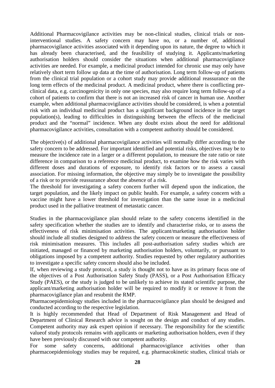Additional Pharmacovigilance activities may be non-clinical studies, clinical trials or noninterventional studies. A safety concern may have no, or a number of, additional pharmacovigilance activities associated with it depending upon its nature, the degree to which it has already been characterised, and the feasibility of studying it. Applicants/marketing authorisation holders should consider the situations when additional pharmacovigilance activities are needed. For example, a medicinal product intended for chronic use may only have relatively short term follow up data at the time of authorisation. Long term follow-up of patients from the clinical trial population or a cohort study may provide additional reassurance on the long term effects of the medicinal product. A medicinal product, where there is conflicting preclinical data, e.g. carcinogenicity in only one species, may also require long term follow-up of a cohort of patients to confirm that there is not an increased risk of cancer in human use. Another example, when additional pharmacovigilance activities should be considered, is when a potential risk with an individual medicinal product has a significant background incidence in the target population(s), leading to difficulties in distinguishing between the effects of the medicinal product and the "normal" incidence. When any doubt exists about the need for additional pharmacovigilance activities, consultation with a competent authority should be considered.

The objective(s) of additional pharmacovigilance activities will normally differ according to the safety concern to be addressed. For important identified and potential risks, objectives may be to measure the incidence rate in a larger or a different population, to measure the rate ratio or rate difference in comparison to a reference medicinal product, to examine how the risk varies with different doses and durations of exposure, to identify risk factors or to assess a causal association. For missing information, the objective may simply be to investigate the possibility of a risk or to provide reassurance about the absence of a risk.

The threshold for investigating a safety concern further will depend upon the indication, the target population, and the likely impact on public health. For example, a safety concern with a vaccine might have a lower threshold for investigation than the same issue in a medicinal product used in the palliative treatment of metastatic cancer.

Studies in the pharmacovigilance plan should relate to the safety concerns identified in the safety specification whether the studies are to identify and characterise risks, or to assess the effectiveness of risk minimisation activities. The applicant/marketing authorisation holder should include all studies designed to address the safety concern or measure the effectiveness of risk minimisation measures. This includes all post-authorisation safety studies which are initiated, managed or financed by marketing authorisation holders, voluntarily, or pursuant to obligations imposed by a competent authority. Studies requested by other regulatory authorities to investigate a specific safety concern should also be included.

If, when reviewing a study protocol, a study is thought not to have as its primary focus one of the objectives of a Post Authorisation Safety Study (PASS), or a Post Authorisation Efficacy Study (PAES), or the study is judged to be unlikely to achieve its stated scientific purpose, the applicant/marketing authorisation holder will be required to modify it or remove it from the pharmacovigilance plan and resubmit the RMP.

Pharmacoepidemiology studies included in the pharmacovigilance plan should be designed and conducted according to the respective legislation.

It is highly recommended that Head of Department of Risk Management and Head of Department of Clinical Research advice is sought on the design and conduct of any studies. Competent authority may ask expert opinion if necessary. The responsibility for the scientific valueof study protocols remains with applicants or marketing authorisation holders, even if they have been previously discussed with our competent authority.

For some safety concerns, additional pharmacovigilance activities other than pharmacoepidemiology studies may be required, e.g. pharmacokinetic studies, clinical trials or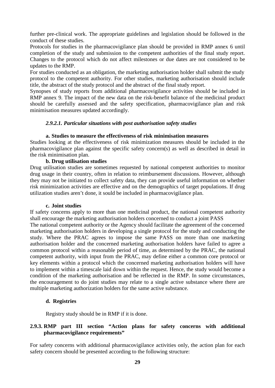further pre-clinical work. The appropriate guidelines and legislation should be followed in the conduct of these studies.

Protocols for studies in the pharmacovigilance plan should be provided in RMP annex 6 until completion of the study and submission to the competent authorities of the final study report. Changes to the protocol which do not affect milestones or due dates are not considered to be updates to the RMP.

For studies conducted as an obligation, the marketing authorisation holder shall submit the study protocol to the competent authority. For other studies, marketing authorisation should include title, the abstract of the study protocol and the abstract of the final study report.

Synopses of study reports from additional pharmacovigilance activities should be included in RMP annex 9. The impact of the new data on the risk-benefit balance of the medicinal product should be carefully assessed and the safety specification, pharmacovigilance plan and risk minimisation measures updated accordingly.

#### <span id="page-29-0"></span>*2.9.2.1. Particular situations with post authorisation safety studies*

#### **a. Studies to measure the effectiveness of risk minimisation measures**

Studies looking at the effectiveness of risk minimization measures should be included in the pharmacovigilance plan against the specific safety concern(s) as well as described in detail in the risk minimisation plan.

## **b. Drug utilisation studies**

Drug utilisation studies are sometimes requested by national competent authorities to monitor drug usage in their country, often in relation to reimbursement discussions. However, although they may not be initiated to collect safety data, they can provide useful information on whether risk minimization activities are effective and on the demographics of target populations. If drug utilization studies aren't done, it sould be included in pharmacovigilance plan.

#### **c. Joint studies**

If safety concerns apply to more than one medicinal product, the national competent authority shall encourage the marketing authorisation holders concerned to conduct a joint PASS

The national competent authority or the Agency should facilitate the agreement of the concerned marketing authorisation holders in developing a single protocol for the study and conducting the study. Where the PRAC agrees to impose the same PASS on more than one marketing authorisation holder and the concerned marketing authorisation holders have failed to agree a common protocol within a reasonable period of time, as determined by the PRAC, the national competent authority, with input from the PRAC, may define either a common core protocol or key elements within a protocol which the concerned marketing authorisation holders will have to implement within a timescale laid down within the request. Hence, the study would become a condition of the marketing authorisation and be reflected in the RMP. In some circumstances, the encouragement to do joint studies may relate to a single active substance where there are multiple marketing authorization holders for the same active substance.

#### **d. Registries**

Registry study should be in RMP if it is done.

#### **2.9.3. RMP part III section "Action plans for safety concerns with additional pharmacovigilance requirements"**

For safety concerns with additional pharmacovigilance activities only, the action plan for each safety concern should be presented according to the following structure: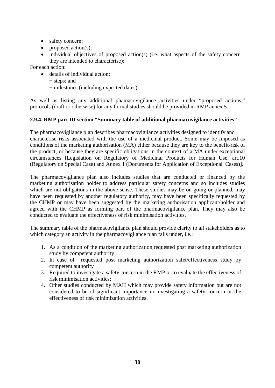- safety concern;
- proposed action(s);
- individual objectives of proposed action(s) (i.e. what aspects of the safety concern they are intended to characterise);

For each action:

- details of individual action:
	- − steps; and
	- − milestones (including expected dates).

As well as listing any additional phamacovigilance activities under "proposed actions," protocols (draft or otherwise) for any formal studies should be provided in RMP annex 5.

## **2.9.4. RMP part III section "Summary table of additional pharmacovigilance activities"**

The pharmacovigilance plan describes pharmacovigilance activities designed to identify and characterise risks associated with the use of a medicinal product. Some may be imposed as conditions of the marketing authorisation (MA) either because they are key to the benefit-risk of the product, or because they are specific obligations in the context of a MA under exceptional circumstances [Legislation on Regulatory of Medicinal Products for Human Use, art.10 (Regulatory on Special Case) and Annex 1 (Documents for Application of Exceptional Cases)].

The pharmacovigilance plan also includes studies that are conducted or financed by the marketing authorisation holder to address particular safety concerns and so includes studies which are not obligations in the above sense. These studies may be on-going or planned, may have been requested by another regulatory authority, may have been specifically requested by the CHMP or may have been suggested by the marketing authorisation applicant/holder and agreed with the CHMP as forming part of the pharmacovigilance plan. They may also be conducted to evaluate the effectiveness of risk minimisation activities.

The summary table of the pharmacovigilance plan should provide clarity to all stakeholders as to which category an activity in the pharmacovigilance plan falls under, *i.e.*:

- 1. As a condition of the marketing authorization,requested post marketing authorization study by competent authority
- 2. In case of requested post marketing authorization safet/effectiveness study by competent authority
- 3. Required to investigate a safety concern in the RMP or to evaluate the effectiveness of risk minimisation activities;
- 4. Other studies conducted by MAH which may provide safety information but are not considered to be of significant importance in investigating a safety concern or the effectiveness of risk minimization activities.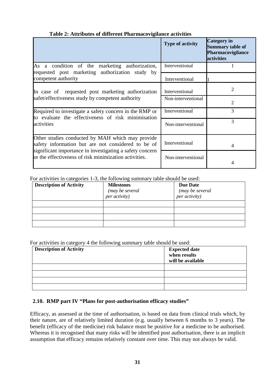## **Table 2: Attributes of different Pharmacovigilance activities**

|                                                                                                                   | <b>Type of activity</b> | <b>Category</b> in<br><b>Summary table of</b><br>Pharmacovigilance<br>activities |
|-------------------------------------------------------------------------------------------------------------------|-------------------------|----------------------------------------------------------------------------------|
| As a condition of the marketing authorization,<br>requested post marketing authorization study by                 | Interventional          |                                                                                  |
| competent authority                                                                                               | Interventional          |                                                                                  |
| In case of requested post marketing authorization                                                                 | Interventional          | 2                                                                                |
| safet/effectiveness study by competent authority                                                                  | Non-interventional      | $\overline{2}$                                                                   |
| Required to investigate a safety concern in the RMP or<br>to evaluate the effectiveness of risk minimisation      | Interventional          | 3                                                                                |
| activities                                                                                                        | Non-interventional      | 3                                                                                |
| Other studies conducted by MAH which may provide<br>safety information but are not considered to be of            | Interventional          | 4                                                                                |
| significant importance in investigating a safety concern<br>or the effectiveness of risk minimization activities. | Non-interventional      |                                                                                  |

#### For activities in categories 1-3, the following summary table should be used:

| <b>Description of Activity</b> | <b>Milestones</b><br>(may be several<br>per activity) | <b>Due Date</b><br>(may be several<br><i>per activity</i> ) |
|--------------------------------|-------------------------------------------------------|-------------------------------------------------------------|
|                                |                                                       |                                                             |
|                                |                                                       |                                                             |
|                                |                                                       |                                                             |
|                                |                                                       |                                                             |

For activities in category 4 the following summary table should be used:

| <b>Description of Activity</b> | <b>Expected date</b><br>when results<br>will be available |
|--------------------------------|-----------------------------------------------------------|
|                                |                                                           |
|                                |                                                           |
|                                |                                                           |
|                                |                                                           |

# <span id="page-31-0"></span>**2.10. RMP part IV "Plans for post-authorisation efficacy studies"**

Efficacy, as assessed at the time of authorisation, is based on data from clinical trials which, by their nature, are of relatively limited duration (e.g. usually between 6 months to 3 years). The benefit (efficacy of the medicine) risk balance must be positive for a medicine to be authorised. Whereas it is recognised that many risks will be identified post authorisation, there is an implicit assumption that efficacy remains relatively constant over time. This may not always be valid.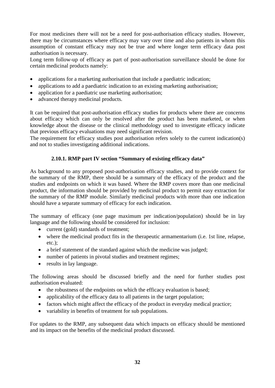For most medicines there will not be a need for post-authorisation efficacy studies. However, there may be circumstances where efficacy may vary over time and also patients in whom this assumption of constant efficacy may not be true and where longer term efficacy data post authorisation is necessary.

Long term follow-up of efficacy as part of post-authorisation surveillance should be done for certain medicinal products namely:

- applications for a marketing authorisation that include a paediatric indication;
- applications to add a paediatric indication to an existing marketing authorisation;
- application for a paediatric use marketing authorisation;
- advanced therapy medicinal products.

It can be required that post-authorisation efficacy studies for products where there are concerns about efficacy which can only be resolved after the product has been marketed, or when knowledge about the disease or the clinical methodology used to investigate efficacy indicate that previous efficacy evaluations may need significant revision.

The requirement for efficacy studies post authorisation refers solely to the current indication(s) and not to studies investigating additional indications.

## **2.10.1. RMP part IV section "Summary of existing efficacy data"**

As background to any proposed post-authorisation efficacy studies, and to provide context for the summary of the RMP, there should be a summary of the efficacy of the product and the studies and endpoints on which it was based. Where the RMP covers more than one medicinal product, the information should be provided by medicinal product to permit easy extraction for the summary of the RMP module. Similarly medicinal products with more than one indication should have a separate summary of efficacy for each indication.

The summary of efficacy (one page maximum per indication/population) should be in lay language and the following should be considered for inclusion:

- current (gold) standards of treatment;
- where the medicinal product fits in the therapeutic armamentarium (i.e. 1st line, relapse, etc.);
- a brief statement of the standard against which the medicine was judged;
- number of patients in pivotal studies and treatment regimes;
- results in lay language.

The following areas should be discussed briefly and the need for further studies post authorisation evaluated:

- the robustness of the endpoints on which the efficacy evaluation is based;
- applicability of the efficacy data to all patients in the target population;
- factors which might affect the efficacy of the product in everyday medical practice;
- variability in benefits of treatment for sub populations.

For updates to the RMP, any subsequent data which impacts on efficacy should be mentioned and its impact on the benefits of the medicinal product discussed.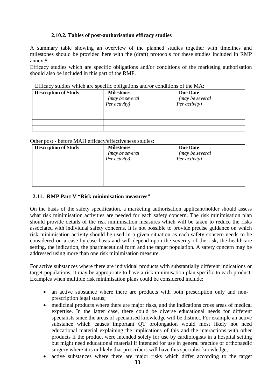## **2.10.2. Tables of post-authorisation efficacy studies**

A summary table showing an overview of the planned studies together with timelines and milestones should be provided here with the (draft) protocols for these studies included in RMP annex 8.

Efficacy studies which are specific obligations and/or conditions of the marketing authorisation should also be included in this part of the RMP.

| ETHORY Statics which are specific congations and/or conditions of the MIT. |                   |                 |  |
|----------------------------------------------------------------------------|-------------------|-----------------|--|
| <b>Description of Study</b>                                                | <b>Milestones</b> | <b>Due Date</b> |  |
|                                                                            | (may be several   | (may be several |  |
|                                                                            | Per activity)     | Per activity)   |  |
|                                                                            |                   |                 |  |
|                                                                            |                   |                 |  |
|                                                                            |                   |                 |  |
|                                                                            |                   |                 |  |

Efficacy studies which are specific obligations and/or conditions of the  $MA$ .

Other post - before MAH efficacy/effectiveness studies:

| <b>Description of Study</b> | <b>Milestones</b> | <b>Due Date</b> |
|-----------------------------|-------------------|-----------------|
|                             | (may be several   | (may be several |
|                             | Per activity)     | Per activity)   |
|                             |                   |                 |
|                             |                   |                 |
|                             |                   |                 |
|                             |                   |                 |

## **2.11. RMP Part V "Risk minimisation measures"**

On the basis of the safety specification, a marketing authorisation applicant/holder should assess what risk minimisation activities are needed for each safety concern. The risk minimisation plan should provide details of the risk minimisation measures which will be taken to reduce the risks associated with individual safety concerns. It is not possible to provide precise guidance on which risk minimisation activity should be used in a given situation as each safety concern needs to be considered on a case-by-case basis and will depend upon the severity of the risk, the healthcare setting, the indication, the pharmaceutical form and the target population. A safety concern may be addressed using more than one risk minimisation measure.

For active substances where there are individual products with substantially different indications or target populations, it may be appropriate to have a risk minimisation plan specific to each product. Examples when multiple risk minimisation plans could be considered include:

- an active substance where there are products with both prescription only and nonprescription legal status;
- medicinal products where there are major risks, and the indications cross areas of medical expertise. In the latter case, there could be diverse educational needs for different specialists since the areas of specialised knowledge will be distinct. For example an active substance which causes important QT prolongation would most likely not need educational material explaining the implications of this and the interactions with other products if the product were intended solely for use by cardiologists in a hospital setting but might need educational material if intended for use in general practice or orthopaedic surgery where it is unlikely that prescribers will have this specialist knowledge;
- active substances where there are major risks which differ according to the target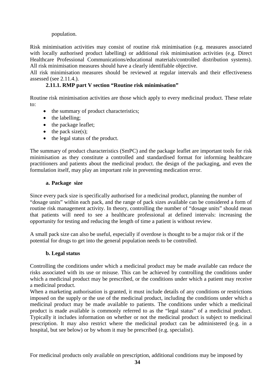## population.

Risk minimisation activities may consist of routine risk minimisation (e.g. measures associated with locally authorised product labelling) or additional risk minimisation activities (e.g. Direct Healthcare Professional Communications/educational materials/controlled distribution systems). All risk minimisation measures should have a clearly identifiable objective.

All risk minimisation measures should be reviewed at regular intervals and their effectiveness assessed (see 2.11.4.).

## **2.11.1. RMP part V section "Routine risk minimisation"**

Routine risk minimisation activities are those which apply to every medicinal product. These relate to:

- the summary of product characteristics;
- the labelling;
- the package leaflet;
- $\bullet$  the pack size(s);
- the legal status of the product.

The summary of product characteristics (SmPC) and the package leaflet are important tools for risk minimisation as they constitute a controlled and standardised format for informing healthcare practitioners and patients about the medicinal product. the design of the packaging, and even the formulation itself, may play an important role in preventing medication error.

#### **a. Package size**

Since every pack size is specifically authorised for a medicinal product, planning the number of "dosage units" within each pack, and the range of pack sizes available can be considered a form of routine risk management activity. In theory, controlling the number of "dosage units" should mean that patients will need to see a healthcare professional at defined intervals: increasing the opportunity for testing and reducing the length of time a patient is without review.

A small pack size can also be useful, especially if overdose is thought to be a major risk or if the potential for drugs to get into the general population needs to be controlled.

## **b. Legal status**

Controlling the conditions under which a medicinal product may be made available can reduce the risks associated with its use or misuse. This can be achieved by controlling the conditions under which a medicinal product may be prescribed, or the conditions under which a patient may receive a medicinal product.

When a marketing authorisation is granted, it must include details of any conditions or restrictions imposed on the supply or the use of the medicinal product, including the conditions under which a medicinal product may be made available to patients. The conditions under which a medicinal product is made available is commonly referred to as the "legal status" of a medicinal product. Typically it includes information on whether or not the medicinal product is subject to medicinal prescription. It may also restrict where the medicinal product can be administered (e.g. in a hospital, but see below) or by whom it may be prescribed (e.g. specialist).

For medicinal products only available on prescription, additional conditions may be imposed by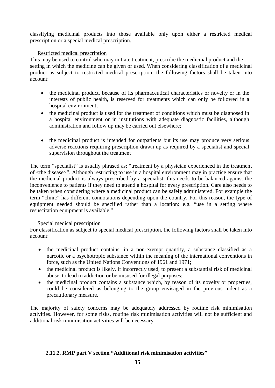classifying medicinal products into those available only upon either a restricted medical prescription or a special medical prescription.

#### Restricted medical prescription

This may be used to control who may initiate treatment, prescribe the medicinal product and the setting in which the medicine can be given or used. When considering classification of a medicinal product as subject to restricted medical prescription, the following factors shall be taken into account:

- the medicinal product, because of its pharmaceutical characteristics or novelty or in the interests of public health, is reserved for treatments which can only be followed in a hospital environment;
- the medicinal product is used for the treatment of conditions which must be diagnosed in a hospital environment or in institutions with adequate diagnostic facilities, although administration and follow up may be carried out elsewhere;
- the medicinal product is intended for outpatients but its use may produce very serious adverse reactions requiring prescription drawn up as required by a specialist and special supervision throughout the treatment

The term "specialist" is usually phrased as: "treatment by a physician experienced in the treatment of <the disease>". Although restricting to use in a hospital environment may in practice ensure that the medicinal product is always prescribed by a specialist, this needs to be balanced against the inconvenience to patients if they need to attend a hospital for every prescription. Care also needs to be taken when considering where a medicinal product can be safely administered. For example the term "clinic" has different connotations depending upon the country. For this reason, the type of equipment needed should be specified rather than a location: e.g. "use in a setting where resuscitation equipment is available."

#### Special medical prescription

For classification as subject to special medical prescription, the following factors shall be taken into account:

- the medicinal product contains, in a non-exempt quantity, a substance classified as a narcotic or a psychotropic substance within the meaning of the international conventions in force, such as the United Nations Conventions of 1961 and 1971;
- the medicinal product is likely, if incorrectly used, to present a substantial risk of medicinal abuse, to lead to addiction or be misused for illegal purposes;
- the medicinal product contains a substance which, by reason of its novelty or properties, could be considered as belonging to the group envisaged in the previous indent as a precautionary measure.

The majority of safety concerns may be adequately addressed by routine risk minimisation activities. However, for some risks, routine risk minimisation activities will not be sufficient and additional risk minimisation activities will be necessary.

#### **2.11.2. RMP part V section "Additional risk minimisation activities"**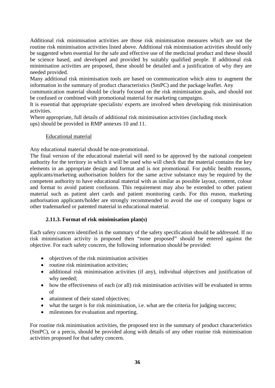Additional risk minimisation activities are those risk minimisation measures which are not the routine risk minimisation activities listed above. Additional risk minimisation activities should only be suggested when essential for the safe and effective use of the medicinal product and these should be science based, and developed and provided by suitably qualified people. If additional risk minimisation activities are proposed, these should be detailed and a justification of why they are needed provided.

Many additional risk minimisation tools are based on communication which aims to augment the information in the summary of product characteristics (SmPC) and the package leaflet. Any

communication material should be clearly focused on the risk minimisation goals, and should not be confused or combined with promotional material for marketing campaigns.

It is essential that appropriate specialists/ experts are involved when developing risk minimisation activities.

Where appropriate, full details of additional risk minimisation activities (including mock ups) should be provided in RMP annexes 10 and 11.

#### Educational material

Any educational material should be non-promotional.

The final version of the educational material will need to be approved by the national competent authority for the territory in which it will be used who will check that the material contains the key elements in an appropriate design and format and is not promotional. For public health reasons, applicants/marketing authorisation holders for the same active substance may be required by the competent authority to have educational material with as similar as possible layout, content, colour and format to avoid patient confusion. This requirement may also be extended to other patient material such as patient alert cards and patient monitoring cards. For this reason, marketing authorisation applicants/holder are strongly recommended to avoid the use of company logos or other trademarked or patented material in educational material.

## **2.11.3. Format of risk minimisation plan(s)**

Each safety concern identified in the summary of the safety specification should be addressed. If no risk minimisation activity is proposed then "none proposed" should be entered against the objective. For each safety concern, the following information should be provided:

- objectives of the risk minimisation activities
- routine risk minimisation activities:
- additional risk minimisation activities (if any), individual objectives and justification of why needed;
- how the effectiveness of each (or all) risk minimisation activities will be evaluated in terms of
- attainment of their stated objectives;
- what the target is for risk minimisation, i.e. what are the criteria for judging success;
- milestones for evaluation and reporting.

For routine risk minimisation activities, the proposed text in the summary of product characteristics (SmPC), or a precis, should be provided along with details of any other routine risk minimisation activities proposed for that safety concern.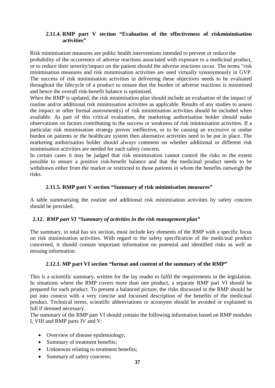#### **2.11.4. RMP part V section "Evaluation of the effectiveness of riskminimisation activities"**

Risk minimisation measures are public health interventions intended to prevent or reduce the probability of the occurrence of adverse reactions associated with exposure to a medicinal product, or to reduce their severity/impact on the patient should the adverse reactions occur. The terms "risk minimisation measures and risk minimisation activities are used virtually synonymously in GVP. The success of risk minimisation activities in delivering these objectives needs to be evaluated throughout the lifecycle of a product to ensure that the burden of adverse reactions is minimised and hence the overall risk-benefit balance is optimised.

When the RMP is updated, the risk minimisation plan should include an evaluation of the impact of routine and/or additional risk minimisation activities as applicable. Results of any studies to assess the impact or other formal assessment(s) of risk minimisation activities should be included when available. As part of this critical evaluation, the marketing authorisation holder should make observations on factors contributing to the success or weakness of risk minimisation activities. If a particular risk minimisation strategy proves ineffective, or to be causing an excessive or undue burden on patients or the healthcare system then alternative activities need to be put in place. The marketing authorisation holder should always comment on whether additional or different risk minimisation activities are needed for each safety concern.

In certain cases it may be judged that risk minimisation cannot control the risks to the extent possible to ensure a positive risk-benefit balance and that the medicinal product needs to be withdrawn either from the market or restricted to those patients in whom the benefits outweigh the risks.

## **2.11.5. RMP part V section "Summary of risk minimisation measures"**

<span id="page-37-0"></span>A table summarising the routine and additional risk minimisation activities by safety concern should be provided.

## **2.12.** *RMP part VI "Summary of activities in the risk management plan"*

The summary, in total has six section, must include key elements of the RMP with a specific focus on risk minimisation activities. With regard to the safety specification of the medicinal product concerned, it should contain important information on potential and identified risks as well as missing information.

## **2.12.1. MP part VI section "format and content of the summary of the RMP"**

This is a scientific summary, written for the lay reader to fulfil the requirements in the legislation. In situations where the RMP covers more than one product, a separate RMP part VI should be prepared for each product. To present a balanced picture, the risks discussed in the RMP should be put into context with a very concise and focussed description of the benefits of the medicinal product. Technical terms, scientific abbreviations or acronyms should be avoided or explained in full if deemed necessary.

The summary of the RMP part VI should contain the following information based on RMP modules I, VIII and RMP parts IV and V:

- Overview of disease epidemiology;
- Summary of treatment benefits;
- Unknowns relating to treatment benefits;
- Summary of safety concerns: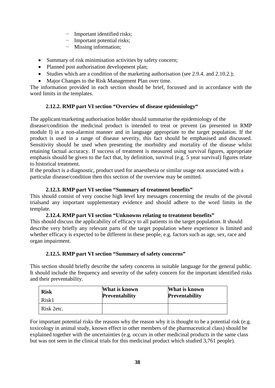- − Important identified risks;
- − Important potential risks;
- − Missing information;
- Summary of risk minimisation activities by safety concern;
- Planned post authorisation development plan;
- Studies which are a condition of the marketing authorisation (see 2.9.4. and 2.10.2.);
- Major Changes to the Risk Management Plan over time.

The information provided in each section should be brief, focussed and in accordance with the word limits in the templates.

## **2.12.2. RMP part VI section "Overview of disease epidemiology"**

The applicant/marketing authorisation holder should summarise the epidemiology of the

disease/condition the medicinal product is intended to treat or prevent (as presented in RMP module I) in a non-alarmist manner and in language appropriate to the target population. If the product is used in a range of disease severity, this fact should be emphasised and discussed. Sensitivity should be used when presenting the morbidity and mortality of the disease whilst retaining factual accuracy. If success of treatment is measured using survival figures, appropriate emphasis should be given to the fact that, by definition, survival (e.g. 5 year survival) figures relate to historical treatment.

If the product is a diagnostic, product used for anaesthesia or similar usage not associated with a particular disease/condition then this section of the overview may be omitted.

## **2.12.3. RMP part VI section "Summary of treatment benefits"**

This should consist of very concise high level key messages concerning the results of the pivotal trialsand any important supplementary evidence and should adhere to the word limits in the template.

## **2.12.4. RMP part VI section "Unknowns relating to treatment benefits"**

<span id="page-38-0"></span>This should discuss the applicability of efficacy to all patients in the target population. It should describe very briefly any relevant parts of the target population where experience is limited and whether efficacy is expected to be different in these people, e.g. factors such as age, sex, race and organ impairment.

## **2.12.5. RMP part VI section "Summary of safety concerns"**

This section should briefly describe the safety concerns in suitable language for the general public. It should include the frequency and severity of the safety concern for the important identified risks and their preventability.

| <b>Risk</b> | What is known         | What is known         |
|-------------|-----------------------|-----------------------|
| Risk1       | <b>Preventability</b> | <b>Preventability</b> |
| Risk 2etc.  |                       |                       |

For important potential risks the reasons why the reason why it is thought to be a potential risk (e.g. toxicology in animal study, known effect in other members of the pharmaceutical class) should be explained together with the uncertainties (e.g. occurs in other medicinal products in the same class but was not seen in the clinical trials for this medicinal product which studied 3,761 people).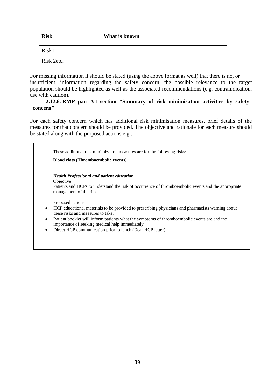| <b>Risk</b> | What is known |
|-------------|---------------|
| Risk1       |               |
| Risk 2etc.  |               |

For missing information it should be stated (using the above format as well) that there is no, or insufficient, information regarding the safety concern, the possible relevance to the target population should be highlighted as well as the associated recommendations (e.g. contraindication, use with caution).

#### **2.12.6. RMP part VI section "Summary of risk minimisation activities by safety concern"**

For each safety concern which has additional risk minimisation measures, brief details of the measures for that concern should be provided. The objective and rationale for each measure should be stated along with the proposed actions e.g.:

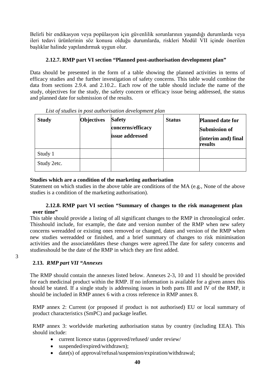Belirli bir endikasyon veya popülasyon için güvenlilik sorunlarının yaşandığı durumlarda veya ileri tedavi ürünlerinin söz konusu olduğu durumlarda, riskleri Modül VII içinde önerilen başlıklar halinde yapılandırmak uygun olur.

## **2.12.7. RMP part VI section "Planned post-authorisation development plan"**

Data should be presented in the form of a table showing the planned activities in terms of efficacy studies and the further investigation of safety concerns. This table would combine the data from sections 2.9.4. and 2.10.2.. Each row of the table should include the name of the study, objectives for the study, the safety concern or efficacy issue being addressed, the status and planned date for submission of the results.

| <b>Study</b> | <b>Objectives</b> | <b>Safety</b><br>concerns/efficacy<br>issue addressed | <b>Status</b> | <b>Planned date for</b><br><b>Submission of</b><br>(interim and) final<br>results |
|--------------|-------------------|-------------------------------------------------------|---------------|-----------------------------------------------------------------------------------|
| Study 1      |                   |                                                       |               |                                                                                   |
| Study 2etc.  |                   |                                                       |               |                                                                                   |

| List of studies in post authorisation development plan |  |  |
|--------------------------------------------------------|--|--|
|                                                        |  |  |

## **Studies which are a condition of the marketing authorisation**

Statement on which studies in the above table are conditions of the MA (e.g., None of the above studies is a condition of the marketing authorisation).

## **2.12.8. RMP part VI section "Summary of changes to the risk management plan over time"**

This table should provide a listing of all significant changes to the RMP in chronological order. Thisshould include, for example, the date and version number of the RMP when new safety concerns wereadded or existing ones removed or changed, dates and version of the RMP when new studies wereadded or finished, and a brief summary of changes to risk minimisation activities and the associateddates these changes were agreed.The date for safety concerns and studiesshould be the date of the RMP in which they are first added.

# **2.13.** *RMP part VII "Annexes*

3

The RMP should contain the annexes listed below. Annexes 2-3, 10 and 11 should be provided for each medicinal product within the RMP. If no information is available for a given annex this should be stated. If a single study is addressing issues in both parts III and IV of the RMP, it should be included in RMP annex 6 with a cross reference in RMP annex 8.

RMP annex 2: Current (or proposed if product is not authorised) EU or local summary of product characteristics (SmPC) and package leaflet.

RMP annex 3: worldwide marketing authorisation status by country (including EEA). This should include:

- current licence status (approved/refused/ under review/
- suspended/expired/withdrawn);
- date(s) of approval/refusal/suspension/expiration/withdrawal;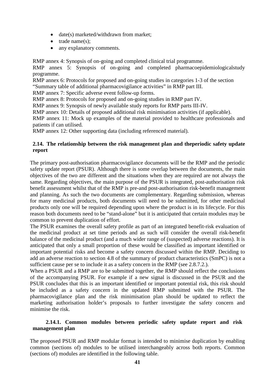- date(s) marketed/withdrawn from market;
- trade name(s);
- any explanatory comments.

RMP annex 4: Synopsis of on-going and completed clinical trial programme.

RMP annex 5: Synopsis of on-going and completed pharmacoepidemiologicalstudy programme.

RMP annex 6: Protocols for proposed and on-going studies in categories 1-3 of the section "Summary table of additional pharmacovigilance activities" in RMP part III.

RMP annex 7: Specific adverse event follow-up forms.

RMP annex 8: Protocols for proposed and on-going studies in RMP part IV.

RMP annex 9: Synopsis of newly available study reports for RMP parts III-IV.

RMP annex 10: Details of proposed additional risk minimisation activities (if applicable).

RMP annex 11: Mock up examples of the material provided to healthcare professionals and patients if can utilised.

RMP annex 12: Other supporting data (including referenced material).

#### **2.14. The relationship between the risk management plan and theperiodic safety update report**

The primary post-authorisation pharmacovigilance documents will be the RMP and the periodic safety update report (PSUR). Although there is some overlap between the documents, the main objectives of the two are different and the situations when they are required are not always the same. Regarding objectives, the main purpose of the PSUR is integrated, post-authorisation risk benefit assessment whilst that of the RMP is pre-and post-authorisation risk-benefit management and planning. As such the two documents are complementary. Regarding submission, whereas for many medicinal products, both documents will need to be submitted, for other medicinal products only one will be required depending upon where the product is in its lifecycle. For this reason both documents need to be "stand-alone" but it is anticipated that certain modules may be common to prevent duplication of effort.

The PSUR examines the overall safety profile as part of an integrated benefit-risk evaluation of the medicinal product at set time periods and as such will consider the overall risk-benefit balance of the medicinal product (and a much wider range of (suspected) adverse reactions). It is anticipated that only a small proportion of these would be classified as important identified or important potential risks and become a safety concern discussed within the RMP. Deciding to add an adverse reaction to section 4.8 of the summary of product characteristics (SmPC) is not a sufficient cause per se to include it as a safety concern in the RMP (see 2.8.7.2.).

When a PSUR and a RMP are to be submitted together, the RMP should reflect the conclusions of the accompanying PSUR. For example if a new signal is discussed in the PSUR and the PSUR concludes that this is an important identified or important potential risk, this risk should be included as a safety concern in the updated RMP submitted with the PSUR. The pharmacovigilance plan and the risk minimisation plan should be updated to reflect the marketing authorisation holder's proposals to further investigate the safety concern and minimise the risk.

## <span id="page-41-0"></span>**2.14.1. Common modules between periodic safety update report and risk management plan**

The proposed PSUR and RMP modular format is intended to minimise duplication by enabling common (sections of) modules to be utilised interchangeably across both reports. Common (sections of) modules are identified in the following table.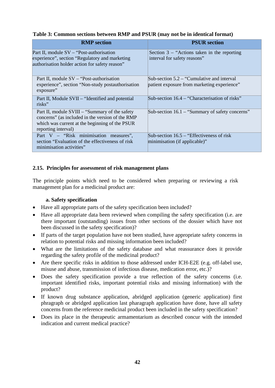| <b>RMP</b> section                                                                                                                                                           | <b>PSUR</b> section                                                                          |
|------------------------------------------------------------------------------------------------------------------------------------------------------------------------------|----------------------------------------------------------------------------------------------|
| Part II, module SV – "Post-authorisation"<br>experience", section "Regulatory and marketing<br>authorisation holder action for safety reason"                                | Section $3$ – "Actions taken in the reporting<br>interval for safety reasons"                |
| Part II, module SV – "Post-authorisation"<br>experience", section "Non-study postauthorisation<br>exposure"                                                                  | Sub-section $5.2 -$ "Cumulative and interval"<br>patient exposure from marketing experience" |
| Part II, Module SVII – "Identified and potential<br>risks"                                                                                                                   | Sub-section 16.4 – "Characterisation of risks"                                               |
| Part II, module SVIII – "Summary of the safety"<br>concerns" (as included in the version of the RMP<br>which was current at the beginning of the PSUR<br>reporting interval) | Sub-section $16.1 -$ "Summary of safety concerns"                                            |
| Part V – "Risk minimisation measures",<br>section "Evaluation of the effectiveness of risk<br>minimisation activities"                                                       | Sub-section $16.5 -$ "Effectiveness of risk"<br>minimisation (if applicable)"                |

 **Table 3: Common sections between RMP and PSUR (may not be in identical format)**

## **2.15. Principles for assessment of risk management plans**

The principle points which need to be considered when preparing or reviewing a risk management plan for a medicinal product are:

## **a. Safety specification**

- Have all appropriate parts of the safety specification been included?
- Have all appropriate data been reviewed when compiling the safety specification (i.e. are there important (outstanding) issues from other sections of the dossier which have not been discussed in the safety specification)?
- If parts of the target population have not been studied, have appropriate safety concerns in relation to potential risks and missing information been included?
- What are the limitations of the safety database and what reassurance does it provide regarding the safety profile of the medicinal product?
- Are there specific risks in addition to those addressed under ICH-E2E (e.g. off-label use, misuse and abuse, transmission of infectious disease, medication error, etc.)?
- Does the safety specification provide a true reflection of the safety concerns (i.e. important identified risks, important potential risks and missing information) with the product?
- If known drug substance application, abridged application (generic application) first phragraph or abridged application last pharagraph application have done, have all safety concerns from the reference medicinal product been included in the safety specification?
- Does its place in the therapeutic armamentarium as described concur with the intended indication and current medical practice?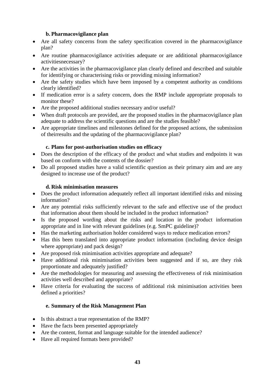## **b. Pharmacovigilance plan**

- Are all safety concerns from the safety specification covered in the pharmacovigilance plan?
- Are routine pharmacovigilance activities adequate or are additional pharmacovigilance activitiesnecessary?
- Are the activities in the pharmacovigilance plan clearly defined and described and suitable for identifying or characterising risks or providing missing information?
- Are the safety studies which have been imposed by a competent authority as conditions clearly identified?
- If medication error is a safety concern, does the RMP include appropriate proposals to monitor these?
- Are the proposed additional studies necessary and/or useful?
- When draft protocols are provided, are the proposed studies in the pharmacovigilance plan adequate to address the scientific questions and are the studies feasible?
- Are appropriate timelines and milestones defined for the proposed actions, the submission of theirresults and the updating of the pharmacovigilance plan?

## **c. Plans for post-authorisation studies on efficacy**

- Does the description of the efficacy of the product and what studies and endpoints it was based on conform with the contents of the dossier?
- Do all proposed studies have a valid scientific question as their primary aim and are any designed to increase use of the product?

## **d. Risk minimisation measures**

- Does the product information adequately reflect all important identified risks and missing information?
- Are any potential risks sufficiently relevant to the safe and effective use of the product that information about them should be included in the product information?
- Is the proposed wording about the risks and location in the product information appropriate and in line with relevant guidelines (e.g. SmPC guideline)?
- Has the marketing authorisation holder considered ways to reduce medication errors?
- Has this been translated into appropriate product information (including device design where appropriate) and pack design?
- Are proposed risk minimisation activities appropriate and adequate?
- Have additional risk minimisation activities been suggested and if so, are they risk proportionate and adequately justified?
- Are the methodologies for measuring and assessing the effectiveness of risk minimisation activities well described and appropriate?
- Have criteria for evaluating the success of additional risk minimisation activities been defined a priorities?

# **e. Summary of the Risk Management Plan**

- Is this abstract a true representation of the RMP?
- Have the facts been presented appropriately
- Are the content, format and language suitable for the intended audience?
- Have all required formats been provided?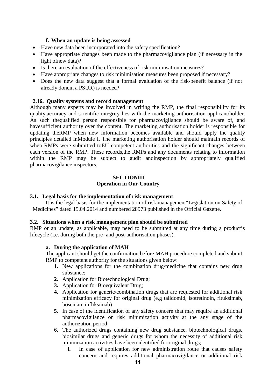#### **f. When an update is being assessed**

- Have new data been incorporated into the safety specification?
- Have appropriate changes been made to the pharmacovigilance plan (if necessary in the light ofnew data)?
- Is there an evaluation of the effectiveness of risk minimisation measures?
- Have appropriate changes to risk minimisation measures been proposed if necessary?
- Does the new data suggest that a formal evaluation of the risk-benefit balance (if not already donein a PSUR) is needed?

#### **2.16. Quality systems and record management**

Although many experts may be involved in writing the RMP, the final responsibility for its quality,accuracy and scientific integrity lies with the marketing authorisation applicant/holder. As such thequalified person responsible for pharmacovigilance should be aware of, and havesufficient authority over the content. The marketing authorisation holder is responsible for updating theRMP when new information becomes available and should apply the quality principles detailed inModule I. The marketing authorisation holder should maintain records of when RMPs were submitted toEU competent authorities and the significant changes between each version of the RMP. These records,the RMPs and any documents relating to information within the RMP may be subject to audit andinspection by appropriately qualified pharmacovigilance inspectors.

#### **SECTIONIII Operation in Our Country**

#### **3.1. Legal basis for the implementation of risk management**

It is the legal basis for the implementation of risk management"Legislation on Safety of Medicines" dated 15.04.2014 and numbered 28973 published in the Official Gazette.

#### **3.2. Situations when a risk management plan should be submitted**

RMP or an update, as applicable, may need to be submitted at any time during a product's lifecycle (i.e. during both the pre- and post-authorisation phases).

#### **a. During the application of MAH**

The applicant should get the confirmation before MAH procedure completed and submit RMP to competent authority for the situations given below:

- **1.** New applications for the combination drug/medicine that contains new drug substance;
- **2.** Application for Biotechnological Drug;
- **3.** Application for Bioequivalent Drug;
- **4.** Application for generic/combination drugs that are requested for additional risk minimization efficacy for original drug (e.g talidomid, isotretinoin, rituksimab, bosentan, infliksimab)
- **5.** In case of the identification of any safety concern that may require an additional pharmacovigilance or risk minimization activity at the any stage of the authorization period;
- **6.** The authorized drugs containing new drug substance, biotechnological drugs, biosimilar drugs and generic drugs for whom the necessity of additional risk minimization activities have been identified for original drugs;
	- **i.** In case of application for new administration route that causes safety concern and requires additional pharmacovigilance or additional risk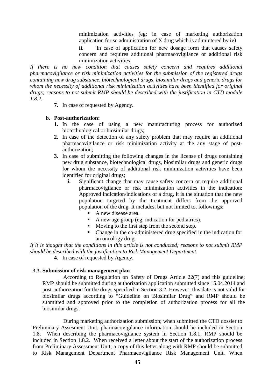minimization activities (eg; in case of marketing authorization application for sc administration of X drug which is adimintered by iv)

ii. In case of application for new dosage form that causes safety concern and requires additional pharmacovigilance or additional risk minimization activities

*If there is no new condition that causes safety concern and requires additional pharmacovigilance or risk minimization activities for the submission of the registered drugs containing new drug substance, biotechnological drugs, biosimilar drugs and generic drugs for whom the necessity of additional risk minimization activities have been identified for original drugs; reasons to not submit RMP should be described with the justification in CTD module 1.8.2.* 

**7.** In case of requested by Agency.

#### **b. Post-authorization:**

- **1.** In the case of using a new manufacturing process for authorized biotechnological or biosimilar drugs;
- **2.** In case of the detection of any safety problem that may require an additional pharmacovigilance or risk minimization activity at the any stage of postauthorization;
- **3.** In case of submitting the following changes in the license of drugs containing new drug substance, biotechnological drugs, biosimilar drugs and generic drugs for whom the necessity of additional risk minimization activities have been identified for original drugs;
	- **i.** Significant change that may cause safety concern or require additional pharmacovigilance or risk minimization activities in the indication: Approved indication/indications of a drug, it is the situation that the new population targeted by the treatment differs from the approved population of the drug. It includes, but not limited to, followings:
		- A new disease area.
		- A new age group (eg: indication for pediatrics).
		- Moving to the first step from the second step.
		- Change in the co-administered drug specified in the indication for an oncology drug.

*If it is thought that the conditions in this article is not conducted; reasons to not submit RMP should be described with the justification to Risk Management Department.*

**4.** In case of requested by Agency.

#### **3.3. Submission of risk management plan**

According to Regulation on Safety of Drugs Article 22(7) and this guideline; RMP should be submitted during authorization application submitted since 15.04.2014 and post-authorization for the drugs specified in Section 3.2. However; this date is not valid for biosimilar drugs according to "Guideline on Biosimilar Drug" and RMP should be submitted and approved prior to the completion of authorization process for all the biosimilar drugs.

During marketing authorization submission; when submitted the CTD dossier to Preliminary Assesment Unit, pharmacovigilance information should be included in Section 1.8. When describing the pharmacovigilance system in Section 1.8.1, RMP should be included in Section 1.8.2. When received a letter about the start of the authorization process from Preliminary Assessment Unit; a copy of this letter along with RMP should be submitted to Risk Management Department Pharmacovigilance Risk Management Unit. When